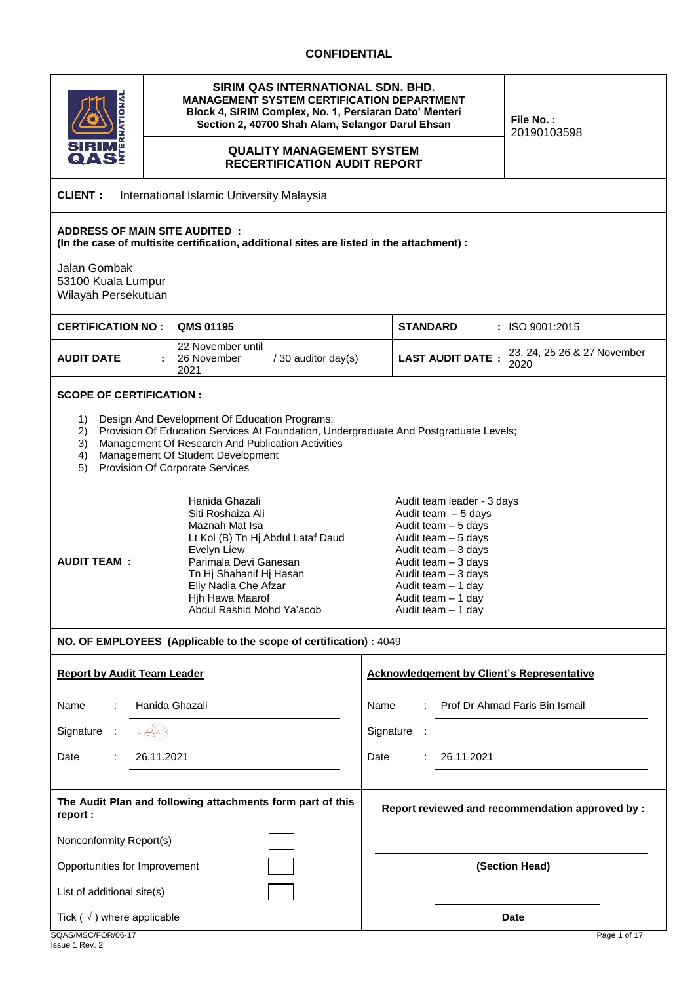## **CONFIDENTIAL**

| SIRIM QAS INTERNATIONAL SDN. BHD.<br><b>ENSIERS</b><br><b>MANAGEMENT SYSTEM CERTIFICATION DEPARTMENT</b><br>Block 4, SIRIM Complex, No. 1, Persiaran Dato' Menteri<br>Section 2, 40700 Shah Alam, Selangor Darul Ehsan<br><b>QUALITY MANAGEMENT SYSTEM</b><br><b>RECERTIFICATION AUDIT REPORT</b> | File No.:<br>20190103598                                                                                                                                                                                                                  |  |  |  |  |  |  |  |  |  |  |  |
|---------------------------------------------------------------------------------------------------------------------------------------------------------------------------------------------------------------------------------------------------------------------------------------------------|-------------------------------------------------------------------------------------------------------------------------------------------------------------------------------------------------------------------------------------------|--|--|--|--|--|--|--|--|--|--|--|
| <b>CLIENT:</b><br>International Islamic University Malaysia                                                                                                                                                                                                                                       |                                                                                                                                                                                                                                           |  |  |  |  |  |  |  |  |  |  |  |
| <b>ADDRESS OF MAIN SITE AUDITED:</b><br>(In the case of multisite certification, additional sites are listed in the attachment) :<br>Jalan Gombak<br>53100 Kuala Lumpur<br>Wilayah Persekutuan                                                                                                    |                                                                                                                                                                                                                                           |  |  |  |  |  |  |  |  |  |  |  |
| <b>QMS 01195</b><br><b>CERTIFICATION NO:</b>                                                                                                                                                                                                                                                      | <b>STANDARD</b><br>: ISO 9001:2015                                                                                                                                                                                                        |  |  |  |  |  |  |  |  |  |  |  |
| 22 November until<br><b>AUDIT DATE</b><br>26 November<br>/ 30 auditor day(s)<br>2021                                                                                                                                                                                                              | 23, 24, 25 26 & 27 November<br><b>LAST AUDIT DATE:</b><br>2020                                                                                                                                                                            |  |  |  |  |  |  |  |  |  |  |  |
| <b>SCOPE OF CERTIFICATION:</b>                                                                                                                                                                                                                                                                    |                                                                                                                                                                                                                                           |  |  |  |  |  |  |  |  |  |  |  |
| Design And Development Of Education Programs;<br>1)<br>Provision Of Education Services At Foundation, Undergraduate And Postgraduate Levels;<br>2)<br>Management Of Research And Publication Activities<br>3)<br>Management Of Student Development<br>4)<br>Provision Of Corporate Services<br>5) |                                                                                                                                                                                                                                           |  |  |  |  |  |  |  |  |  |  |  |
| Hanida Ghazali<br>Siti Roshaiza Ali<br>Maznah Mat Isa<br>Lt Kol (B) Tn Hj Abdul Lataf Daud<br>Evelyn Liew<br><b>AUDIT TEAM:</b><br>Parimala Devi Ganesan<br>Tn Hj Shahanif Hj Hasan<br>Elly Nadia Che Afzar<br>Hjh Hawa Maarof<br>Abdul Rashid Mohd Ya'acob                                       | Audit team leader - 3 days<br>Audit team $-5$ days<br>Audit team $-5$ days<br>Audit team - 5 days<br>Audit team $-3$ days<br>Audit team - 3 days<br>Audit team - 3 days<br>Audit team – 1 day<br>Audit team - 1 day<br>Audit team - 1 day |  |  |  |  |  |  |  |  |  |  |  |
| NO. OF EMPLOYEES (Applicable to the scope of certification) : 4049                                                                                                                                                                                                                                |                                                                                                                                                                                                                                           |  |  |  |  |  |  |  |  |  |  |  |
| <b>Report by Audit Team Leader</b>                                                                                                                                                                                                                                                                | <b>Acknowledgement by Client's Representative</b>                                                                                                                                                                                         |  |  |  |  |  |  |  |  |  |  |  |
| Hanida Ghazali<br>Name                                                                                                                                                                                                                                                                            | Prof Dr Ahmad Faris Bin Ismail<br>Name                                                                                                                                                                                                    |  |  |  |  |  |  |  |  |  |  |  |
| الأستاليفيريه<br>Signature<br>- 1                                                                                                                                                                                                                                                                 | Signature :                                                                                                                                                                                                                               |  |  |  |  |  |  |  |  |  |  |  |
| 26.11.2021<br>Date                                                                                                                                                                                                                                                                                | Date<br>26.11.2021                                                                                                                                                                                                                        |  |  |  |  |  |  |  |  |  |  |  |
| The Audit Plan and following attachments form part of this<br>report :                                                                                                                                                                                                                            | Report reviewed and recommendation approved by :                                                                                                                                                                                          |  |  |  |  |  |  |  |  |  |  |  |
| Nonconformity Report(s)                                                                                                                                                                                                                                                                           |                                                                                                                                                                                                                                           |  |  |  |  |  |  |  |  |  |  |  |
| Opportunities for Improvement                                                                                                                                                                                                                                                                     | (Section Head)                                                                                                                                                                                                                            |  |  |  |  |  |  |  |  |  |  |  |
| List of additional site(s)                                                                                                                                                                                                                                                                        |                                                                                                                                                                                                                                           |  |  |  |  |  |  |  |  |  |  |  |
| Tick ( $\sqrt{}$ ) where applicable<br>SQAS/MSC/FOR/06-17                                                                                                                                                                                                                                         | <b>Date</b><br>Page 1 of 17                                                                                                                                                                                                               |  |  |  |  |  |  |  |  |  |  |  |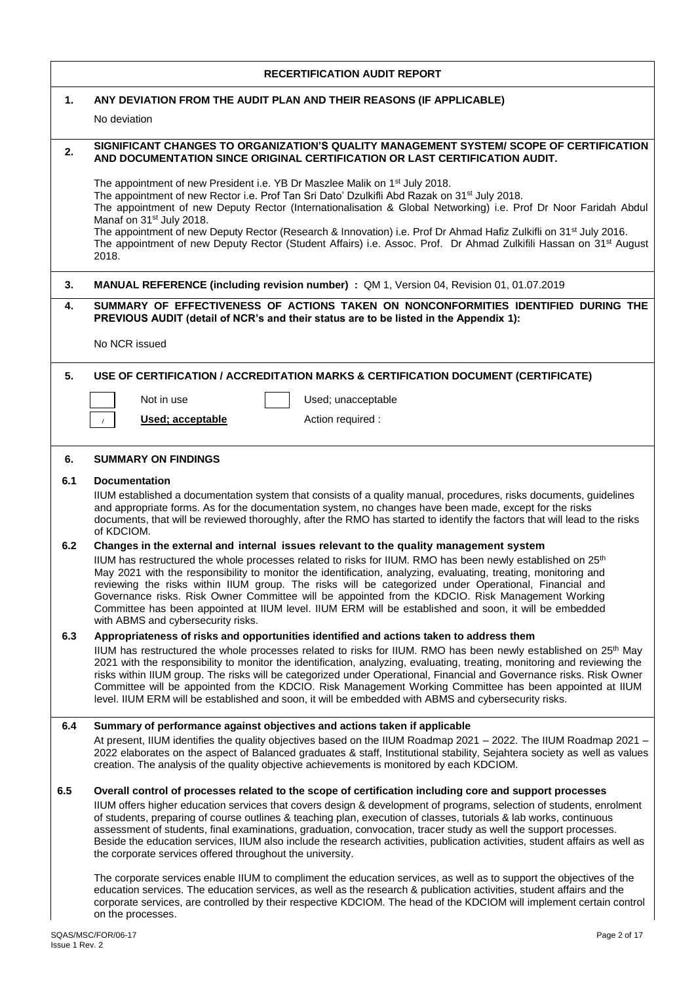|     | <b>RECERTIFICATION AUDIT REPORT</b>                                                                                                                                                                                                                                                                                                                                                                                                                                                                                                                                                                                                                                    |
|-----|------------------------------------------------------------------------------------------------------------------------------------------------------------------------------------------------------------------------------------------------------------------------------------------------------------------------------------------------------------------------------------------------------------------------------------------------------------------------------------------------------------------------------------------------------------------------------------------------------------------------------------------------------------------------|
| 1.  | ANY DEVIATION FROM THE AUDIT PLAN AND THEIR REASONS (IF APPLICABLE)                                                                                                                                                                                                                                                                                                                                                                                                                                                                                                                                                                                                    |
|     | No deviation                                                                                                                                                                                                                                                                                                                                                                                                                                                                                                                                                                                                                                                           |
| 2.  | SIGNIFICANT CHANGES TO ORGANIZATION'S QUALITY MANAGEMENT SYSTEM/ SCOPE OF CERTIFICATION<br>AND DOCUMENTATION SINCE ORIGINAL CERTIFICATION OR LAST CERTIFICATION AUDIT.                                                                                                                                                                                                                                                                                                                                                                                                                                                                                                 |
|     | The appointment of new President i.e. YB Dr Maszlee Malik on 1 <sup>st</sup> July 2018.<br>The appointment of new Rector i.e. Prof Tan Sri Dato' Dzulkifli Abd Razak on 31 <sup>st</sup> July 2018.<br>The appointment of new Deputy Rector (Internationalisation & Global Networking) i.e. Prof Dr Noor Faridah Abdul<br>Manaf on 31 <sup>st</sup> July 2018.<br>The appointment of new Deputy Rector (Research & Innovation) i.e. Prof Dr Ahmad Hafiz Zulkifli on 31 <sup>st</sup> July 2016.<br>The appointment of new Deputy Rector (Student Affairs) i.e. Assoc. Prof. Dr Ahmad Zulkifili Hassan on 31 <sup>st</sup> August<br>2018.                              |
| 3.  | MANUAL REFERENCE (including revision number) : QM 1, Version 04, Revision 01, 01.07.2019                                                                                                                                                                                                                                                                                                                                                                                                                                                                                                                                                                               |
| 4.  | SUMMARY OF EFFECTIVENESS OF ACTIONS TAKEN ON NONCONFORMITIES IDENTIFIED DURING THE<br>PREVIOUS AUDIT (detail of NCR's and their status are to be listed in the Appendix 1):                                                                                                                                                                                                                                                                                                                                                                                                                                                                                            |
|     | No NCR issued                                                                                                                                                                                                                                                                                                                                                                                                                                                                                                                                                                                                                                                          |
| 5.  | USE OF CERTIFICATION / ACCREDITATION MARKS & CERTIFICATION DOCUMENT (CERTIFICATE)                                                                                                                                                                                                                                                                                                                                                                                                                                                                                                                                                                                      |
|     | Not in use<br>Used; unacceptable                                                                                                                                                                                                                                                                                                                                                                                                                                                                                                                                                                                                                                       |
|     | Used; acceptable<br>Action required :<br>$\sqrt{ }$                                                                                                                                                                                                                                                                                                                                                                                                                                                                                                                                                                                                                    |
| 6.  | <b>SUMMARY ON FINDINGS</b>                                                                                                                                                                                                                                                                                                                                                                                                                                                                                                                                                                                                                                             |
| 6.1 | <b>Documentation</b>                                                                                                                                                                                                                                                                                                                                                                                                                                                                                                                                                                                                                                                   |
|     | IIUM established a documentation system that consists of a quality manual, procedures, risks documents, guidelines<br>and appropriate forms. As for the documentation system, no changes have been made, except for the risks<br>documents, that will be reviewed thoroughly, after the RMO has started to identify the factors that will lead to the risks<br>of KDCIOM.                                                                                                                                                                                                                                                                                              |
| 6.2 | Changes in the external and internal issues relevant to the quality management system                                                                                                                                                                                                                                                                                                                                                                                                                                                                                                                                                                                  |
|     | IIUM has restructured the whole processes related to risks for IIUM. RMO has been newly established on 25 <sup>th</sup><br>May 2021 with the responsibility to monitor the identification, analyzing, evaluating, treating, monitoring and<br>reviewing the risks within IIUM group. The risks will be categorized under Operational, Financial and<br>Governance risks. Risk Owner Committee will be appointed from the KDCIO. Risk Management Working<br>Committee has been appointed at IIUM level. IIUM ERM will be established and soon, it will be embedded<br>with ABMS and cybersecurity risks.                                                                |
| 6.3 | Appropriateness of risks and opportunities identified and actions taken to address them                                                                                                                                                                                                                                                                                                                                                                                                                                                                                                                                                                                |
|     | IIUM has restructured the whole processes related to risks for IIUM. RMO has been newly established on 25 <sup>th</sup> May<br>2021 with the responsibility to monitor the identification, analyzing, evaluating, treating, monitoring and reviewing the<br>risks within IIUM group. The risks will be categorized under Operational, Financial and Governance risks. Risk Owner<br>Committee will be appointed from the KDCIO. Risk Management Working Committee has been appointed at IIUM<br>level. IIUM ERM will be established and soon, it will be embedded with ABMS and cybersecurity risks.                                                                   |
| 6.4 | Summary of performance against objectives and actions taken if applicable                                                                                                                                                                                                                                                                                                                                                                                                                                                                                                                                                                                              |
|     | At present, IIUM identifies the quality objectives based on the IIUM Roadmap 2021 – 2022. The IIUM Roadmap 2021 –<br>2022 elaborates on the aspect of Balanced graduates & staff, Institutional stability, Sejahtera society as well as values<br>creation. The analysis of the quality objective achievements is monitored by each KDCIOM.                                                                                                                                                                                                                                                                                                                            |
| 6.5 | Overall control of processes related to the scope of certification including core and support processes<br>IIUM offers higher education services that covers design & development of programs, selection of students, enrolment<br>of students, preparing of course outlines & teaching plan, execution of classes, tutorials & lab works, continuous<br>assessment of students, final examinations, graduation, convocation, tracer study as well the support processes.<br>Beside the education services, IIUM also include the research activities, publication activities, student affairs as well as<br>the corporate services offered throughout the university. |
|     | The corporate services enable IIUM to compliment the education services, as well as to support the objectives of the<br>education services. The education services, as well as the research & publication activities, student affairs and the<br>corporate services, are controlled by their respective KDCIOM. The head of the KDCIOM will implement certain control<br>on the processes.                                                                                                                                                                                                                                                                             |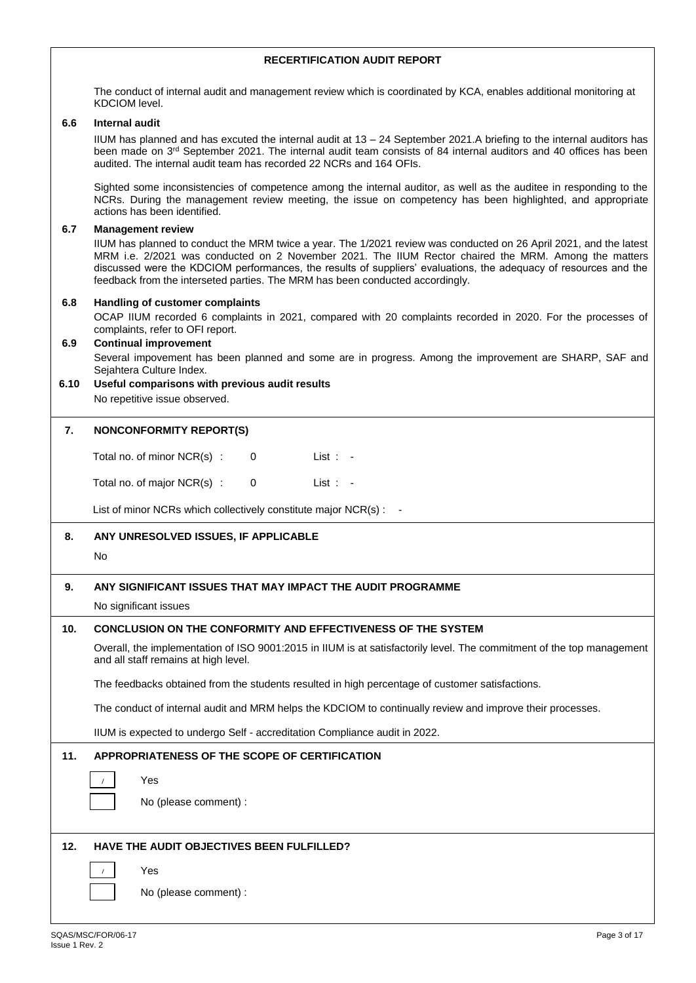The conduct of internal audit and management review which is coordinated by KCA, enables additional monitoring at KDCIOM level.

#### **6.6 Internal audit**

IIUM has planned and has excuted the internal audit at 13 – 24 September 2021.A briefing to the internal auditors has been made on 3<sup>rd</sup> September 2021. The internal audit team consists of 84 internal auditors and 40 offices has been audited. The internal audit team has recorded 22 NCRs and 164 OFIs.

Sighted some inconsistencies of competence among the internal auditor, as well as the auditee in responding to the NCRs. During the management review meeting, the issue on competency has been highlighted, and appropriate actions has been identified.

#### **6.7 Management review**

IIUM has planned to conduct the MRM twice a year. The 1/2021 review was conducted on 26 April 2021, and the latest MRM i.e. 2/2021 was conducted on 2 November 2021. The IIUM Rector chaired the MRM. Among the matters discussed were the KDCIOM performances, the results of suppliers' evaluations, the adequacy of resources and the feedback from the interseted parties. The MRM has been conducted accordingly.

#### **6.8 Handling of customer complaints**

OCAP IIUM recorded 6 complaints in 2021, compared with 20 complaints recorded in 2020. For the processes of complaints, refer to OFI report.

# **6.9 Continual improvement**

Several impovement has been planned and some are in progress. Among the improvement are SHARP, SAF and Sejahtera Culture Index.

#### **6.10 Useful comparisons with previous audit results** No repetitive issue observed.

#### **7. NONCONFORMITY REPORT(S)**

Total no. of minor NCR(s) : 0 List : -

Total no. of major NCR(s) : 0 List : -

List of minor NCRs which collectively constitute major NCR(s) : -

#### **8. ANY UNRESOLVED ISSUES, IF APPLICABLE**

#### No

## **9. ANY SIGNIFICANT ISSUES THAT MAY IMPACT THE AUDIT PROGRAMME**

No significant issues

## **10. CONCLUSION ON THE CONFORMITY AND EFFECTIVENESS OF THE SYSTEM**

Overall, the implementation of ISO 9001:2015 in IIUM is at satisfactorily level. The commitment of the top management and all staff remains at high level.

The feedbacks obtained from the students resulted in high percentage of customer satisfactions.

The conduct of internal audit and MRM helps the KDCIOM to continually review and improve their processes.

IIUM is expected to undergo Self - accreditation Compliance audit in 2022.

## **11. APPROPRIATENESS OF THE SCOPE OF CERTIFICATION**

Yes

No (please comment) :

## **12. HAVE THE AUDIT OBJECTIVES BEEN FULFILLED?**

No (please comment) :

/

/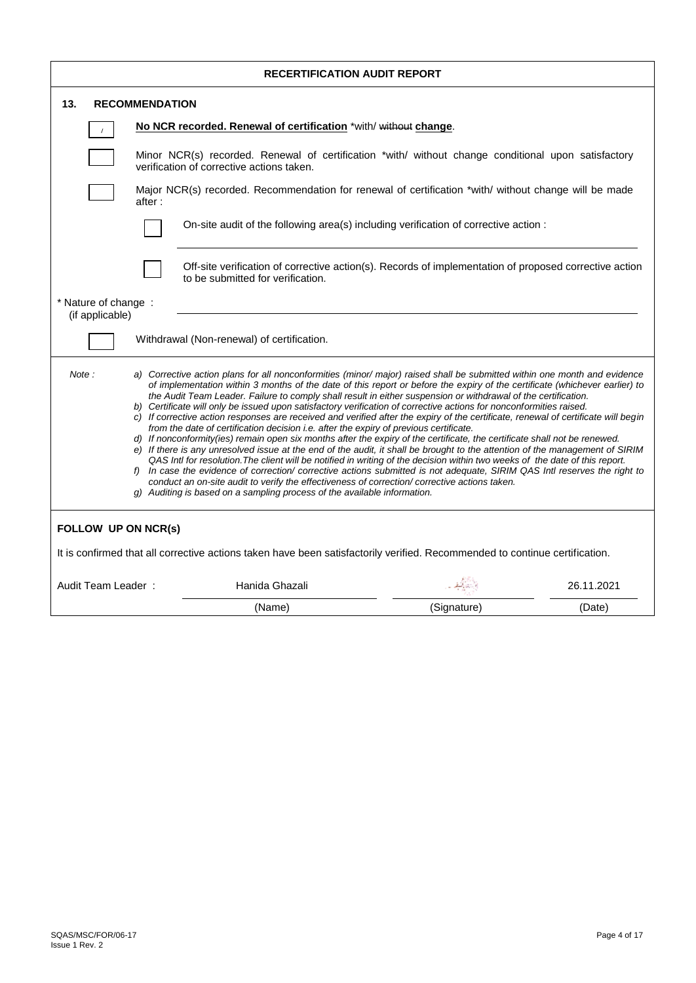| <b>RECERTIFICATION AUDIT REPORT</b>     |                       |                                                                                                                                                                                                                                                                                                                                                                                                                                                                                                                                                                                                                                                                                                                                                                                                                                                                                                                                                                                                                                                                                                                                                                                                                                                                                                                                                                                                                                         |             |            |  |  |  |  |  |  |  |
|-----------------------------------------|-----------------------|-----------------------------------------------------------------------------------------------------------------------------------------------------------------------------------------------------------------------------------------------------------------------------------------------------------------------------------------------------------------------------------------------------------------------------------------------------------------------------------------------------------------------------------------------------------------------------------------------------------------------------------------------------------------------------------------------------------------------------------------------------------------------------------------------------------------------------------------------------------------------------------------------------------------------------------------------------------------------------------------------------------------------------------------------------------------------------------------------------------------------------------------------------------------------------------------------------------------------------------------------------------------------------------------------------------------------------------------------------------------------------------------------------------------------------------------|-------------|------------|--|--|--|--|--|--|--|
| 13.                                     | <b>RECOMMENDATION</b> |                                                                                                                                                                                                                                                                                                                                                                                                                                                                                                                                                                                                                                                                                                                                                                                                                                                                                                                                                                                                                                                                                                                                                                                                                                                                                                                                                                                                                                         |             |            |  |  |  |  |  |  |  |
|                                         |                       | No NCR recorded. Renewal of certification *with/ without change.                                                                                                                                                                                                                                                                                                                                                                                                                                                                                                                                                                                                                                                                                                                                                                                                                                                                                                                                                                                                                                                                                                                                                                                                                                                                                                                                                                        |             |            |  |  |  |  |  |  |  |
|                                         |                       | Minor NCR(s) recorded. Renewal of certification *with/ without change conditional upon satisfactory<br>verification of corrective actions taken.                                                                                                                                                                                                                                                                                                                                                                                                                                                                                                                                                                                                                                                                                                                                                                                                                                                                                                                                                                                                                                                                                                                                                                                                                                                                                        |             |            |  |  |  |  |  |  |  |
|                                         | after :               | Major NCR(s) recorded. Recommendation for renewal of certification *with/ without change will be made                                                                                                                                                                                                                                                                                                                                                                                                                                                                                                                                                                                                                                                                                                                                                                                                                                                                                                                                                                                                                                                                                                                                                                                                                                                                                                                                   |             |            |  |  |  |  |  |  |  |
|                                         |                       | On-site audit of the following area(s) including verification of corrective action :                                                                                                                                                                                                                                                                                                                                                                                                                                                                                                                                                                                                                                                                                                                                                                                                                                                                                                                                                                                                                                                                                                                                                                                                                                                                                                                                                    |             |            |  |  |  |  |  |  |  |
|                                         |                       | Off-site verification of corrective action(s). Records of implementation of proposed corrective action<br>to be submitted for verification.                                                                                                                                                                                                                                                                                                                                                                                                                                                                                                                                                                                                                                                                                                                                                                                                                                                                                                                                                                                                                                                                                                                                                                                                                                                                                             |             |            |  |  |  |  |  |  |  |
| * Nature of change :<br>(if applicable) |                       |                                                                                                                                                                                                                                                                                                                                                                                                                                                                                                                                                                                                                                                                                                                                                                                                                                                                                                                                                                                                                                                                                                                                                                                                                                                                                                                                                                                                                                         |             |            |  |  |  |  |  |  |  |
|                                         |                       | Withdrawal (Non-renewal) of certification.                                                                                                                                                                                                                                                                                                                                                                                                                                                                                                                                                                                                                                                                                                                                                                                                                                                                                                                                                                                                                                                                                                                                                                                                                                                                                                                                                                                              |             |            |  |  |  |  |  |  |  |
| Note:                                   |                       | a) Corrective action plans for all nonconformities (minor/major) raised shall be submitted within one month and evidence<br>of implementation within 3 months of the date of this report or before the expiry of the certificate (whichever earlier) to<br>the Audit Team Leader. Failure to comply shall result in either suspension or withdrawal of the certification.<br>b) Certificate will only be issued upon satisfactory verification of corrective actions for nonconformities raised.<br>c) If corrective action responses are received and verified after the expiry of the certificate, renewal of certificate will begin<br>from the date of certification decision i.e. after the expiry of previous certificate.<br>d) If nonconformity(ies) remain open six months after the expiry of the certificate, the certificate shall not be renewed.<br>e) If there is any unresolved issue at the end of the audit, it shall be brought to the attention of the management of SIRIM<br>QAS Intl for resolution. The client will be notified in writing of the decision within two weeks of the date of this report.<br>f) In case the evidence of correction/ corrective actions submitted is not adequate, SIRIM QAS Intl reserves the right to<br>conduct an on-site audit to verify the effectiveness of correction/corrective actions taken.<br>g) Auditing is based on a sampling process of the available information. |             |            |  |  |  |  |  |  |  |
| FOLLOW UP ON NCR(s)                     |                       |                                                                                                                                                                                                                                                                                                                                                                                                                                                                                                                                                                                                                                                                                                                                                                                                                                                                                                                                                                                                                                                                                                                                                                                                                                                                                                                                                                                                                                         |             |            |  |  |  |  |  |  |  |
|                                         |                       | It is confirmed that all corrective actions taken have been satisfactorily verified. Recommended to continue certification.                                                                                                                                                                                                                                                                                                                                                                                                                                                                                                                                                                                                                                                                                                                                                                                                                                                                                                                                                                                                                                                                                                                                                                                                                                                                                                             |             |            |  |  |  |  |  |  |  |
| Audit Team Leader:                      |                       | Hanida Ghazali                                                                                                                                                                                                                                                                                                                                                                                                                                                                                                                                                                                                                                                                                                                                                                                                                                                                                                                                                                                                                                                                                                                                                                                                                                                                                                                                                                                                                          |             | 26.11.2021 |  |  |  |  |  |  |  |
|                                         |                       | (Name)                                                                                                                                                                                                                                                                                                                                                                                                                                                                                                                                                                                                                                                                                                                                                                                                                                                                                                                                                                                                                                                                                                                                                                                                                                                                                                                                                                                                                                  | (Signature) | (Date)     |  |  |  |  |  |  |  |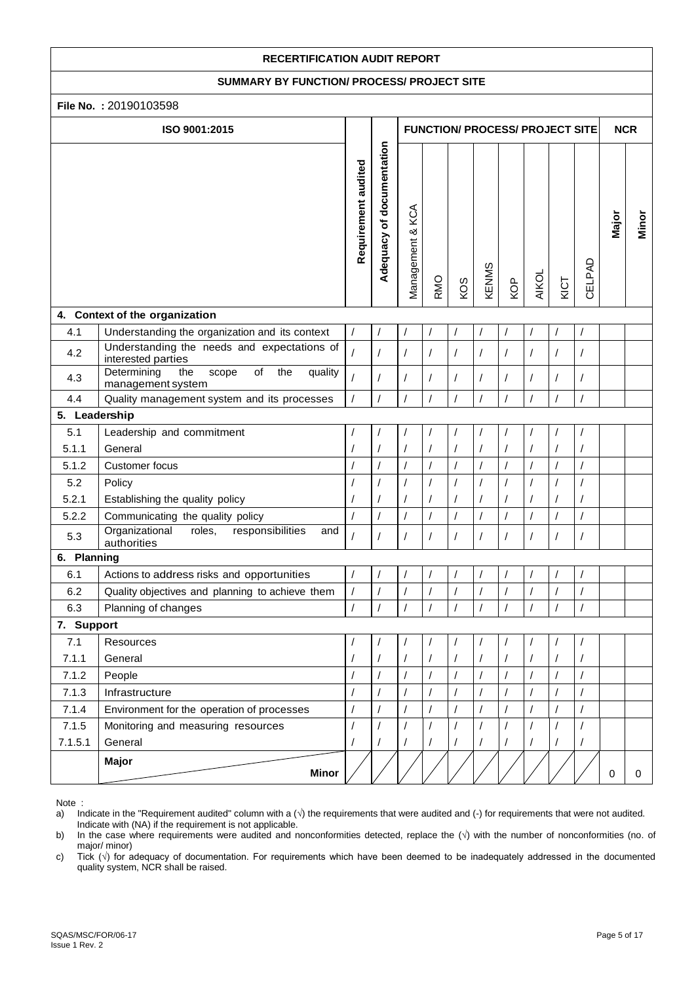#### **SUMMARY BY FUNCTION/ PROCESS/ PROJECT SITE**

|               | File No.: 20190103598                                                    |                     |                           |                     |            |                      |            |          |                                        |          |                |            |       |
|---------------|--------------------------------------------------------------------------|---------------------|---------------------------|---------------------|------------|----------------------|------------|----------|----------------------------------------|----------|----------------|------------|-------|
|               | ISO 9001:2015                                                            |                     |                           |                     |            |                      |            |          | <b>FUNCTION/ PROCESS/ PROJECT SITE</b> |          |                | <b>NCR</b> |       |
|               |                                                                          | Requirement audited | Adequacy of documentation | KCA<br>Management & | <b>RMO</b> | KOS                  | KENMS      | KOP      | <b>AIKOL</b>                           | KICT     | CELPAD         | Major      | Minor |
|               | 4. Context of the organization                                           |                     |                           |                     |            |                      |            |          |                                        |          |                |            |       |
| 4.1           | Understanding the organization and its context                           | $\prime$            |                           |                     |            | /                    | $\sqrt{2}$ |          |                                        |          | $\sqrt{2}$     |            |       |
| 4.2           | Understanding the needs and expectations of<br>interested parties        |                     | $\prime$                  | $\prime$            | $\prime$   | $\overline{1}$       | $\prime$   | $\prime$ | $\prime$                               | $\prime$ | $\sqrt{2}$     |            |       |
| 4.3           | Determining<br>of<br>the<br>the<br>quality<br>scope<br>management system | $\prime$            |                           |                     |            | /                    | $\sqrt{2}$ | $\prime$ | 1                                      | /        | $\prime$       |            |       |
| 4.4           | Quality management system and its processes                              | $\prime$            | $\prime$                  |                     | $\prime$   | $\prime$             | $\prime$   | 7        | $\prime$                               | $\prime$ | $\prime$       |            |       |
| 5. Leadership |                                                                          |                     |                           |                     |            |                      |            |          |                                        |          |                |            |       |
| 5.1           | Leadership and commitment                                                |                     |                           |                     |            |                      |            |          |                                        |          | $\overline{1}$ |            |       |
| 5.1.1         | General                                                                  |                     | $\overline{1}$            |                     |            |                      |            |          |                                        |          | $\prime$       |            |       |
| 5.1.2         | Customer focus                                                           |                     |                           |                     |            | $\overline{I}$       |            |          |                                        |          |                |            |       |
| 5.2           | Policy                                                                   |                     |                           |                     |            | /                    |            |          |                                        |          |                |            |       |
| 5.2.1         | Establishing the quality policy                                          |                     |                           |                     |            |                      |            |          |                                        |          | $\prime$       |            |       |
| 5.2.2         | Communicating the quality policy                                         |                     | $\prime$                  | $\prime$            |            | $\overline{1}$       | $\prime$   |          |                                        |          | $\prime$       |            |       |
| 5.3           | Organizational<br>roles,<br>responsibilities<br>and<br>authorities       |                     |                           |                     |            | /                    |            |          |                                        |          | $\prime$       |            |       |
| 6. Planning   |                                                                          |                     |                           |                     |            |                      |            |          |                                        |          |                |            |       |
| 6.1           | Actions to address risks and opportunities                               | $\prime$            |                           |                     |            |                      |            |          |                                        |          | $\prime$       |            |       |
| 6.2           | Quality objectives and planning to achieve them                          | $\sqrt{2}$          | $\overline{1}$            |                     |            | $\prime$             |            |          |                                        |          |                |            |       |
| 6.3           | Planning of changes                                                      | $\prime$            |                           |                     |            | $\overline{1}$       | $\prime$   |          | $\prime$                               |          | $\prime$       |            |       |
| 7. Support    |                                                                          |                     |                           |                     |            |                      |            |          |                                        |          |                |            |       |
| 7.1           | Resources                                                                |                     |                           |                     |            |                      |            |          |                                        |          |                |            |       |
| 7.1.1         | General                                                                  |                     |                           |                     |            | $\prime$             |            |          |                                        |          | $\prime$       |            |       |
| 7.1.2         | People                                                                   | $\prime$            |                           |                     |            | $\sqrt{\phantom{a}}$ |            |          |                                        |          | $\prime$       |            |       |
| 7.1.3         | Infrastructure                                                           | $\prime$            | $\prime$                  | $\prime$            | $\prime$   | $\sqrt{2}$           | $\prime$   | $\prime$ | $\prime$                               | $\prime$ | $\sqrt{2}$     |            |       |
| 7.1.4         | Environment for the operation of processes                               | $\overline{1}$      | $\overline{1}$            | $\sqrt{2}$          |            | $\overline{1}$       | $\sqrt{2}$ | $\prime$ |                                        |          | $\sqrt{2}$     |            |       |
| 7.1.5         | Monitoring and measuring resources                                       |                     |                           |                     |            |                      |            |          |                                        |          |                |            |       |
| 7.1.5.1       | General                                                                  |                     |                           |                     |            | /                    |            | $\prime$ |                                        |          |                |            |       |
|               | Major<br><b>Minor</b>                                                    |                     |                           |                     |            |                      |            |          |                                        |          |                | $\Omega$   | 0     |

Note :

c) Tick (√) for adequacy of documentation. For requirements which have been deemed to be inadequately addressed in the documented quality system, NCR shall be raised.

a) Indicate in the "Requirement audited" column with a (√) the requirements that were audited and (-) for requirements that were not audited. Indicate with (NA) if the requirement is not applicable.<br>b) In the case where requirements were audited and n

In the case where requirements were audited and nonconformities detected, replace the (√) with the number of nonconformities (no. of major/ minor)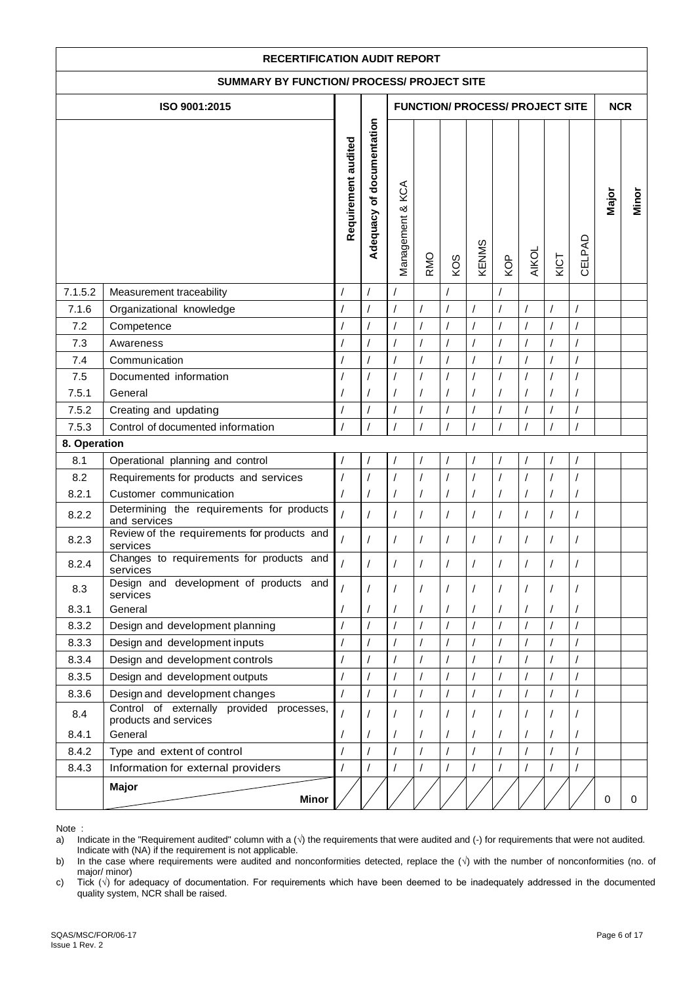| <b>RECERTIFICATION AUDIT REPORT</b>        |                                                                    |                     |                                |                  |                      |                                        |                |                |                |            |                |             |       |
|--------------------------------------------|--------------------------------------------------------------------|---------------------|--------------------------------|------------------|----------------------|----------------------------------------|----------------|----------------|----------------|------------|----------------|-------------|-------|
| SUMMARY BY FUNCTION/ PROCESS/ PROJECT SITE |                                                                    |                     |                                |                  |                      |                                        |                |                |                |            |                |             |       |
|                                            | ISO 9001:2015                                                      |                     |                                |                  |                      | <b>FUNCTION/ PROCESS/ PROJECT SITE</b> |                |                |                |            |                | <b>NCR</b>  |       |
|                                            |                                                                    |                     |                                |                  |                      |                                        |                |                |                |            |                |             |       |
|                                            |                                                                    | Requirement audited | Adequacy of documentation      | Management & KCA | <b>RMO</b>           | KOS                                    | KENMS          | KOP            | <b>AIKOL</b>   | KICT       | CELPAD         | Major       | Minor |
| 7.1.5.2                                    | Measurement traceability                                           |                     |                                |                  |                      |                                        |                |                |                |            |                |             |       |
| 7.1.6                                      | Organizational knowledge                                           | $\prime$            | $\prime$<br>7<br>$\prime$<br>1 |                  |                      |                                        |                |                |                |            |                |             |       |
| 7.2                                        | Competence                                                         | $\overline{1}$      |                                |                  | $\overline{1}$       | $\prime$                               |                |                |                |            | $\overline{1}$ |             |       |
| 7.3                                        | Awareness                                                          | $\prime$            |                                |                  | $\prime$             | $\prime$                               |                | $\prime$       |                |            |                |             |       |
| 7.4                                        | Communication                                                      | $\prime$            |                                |                  | $\overline{1}$       |                                        |                |                |                |            |                |             |       |
| 7.5                                        | Documented information                                             |                     |                                |                  | $\overline{1}$       |                                        |                |                |                |            |                |             |       |
| 7.5.1                                      | General                                                            |                     |                                |                  | 1                    |                                        |                |                |                |            |                |             |       |
| 7.5.2                                      | Creating and updating                                              |                     |                                |                  | $\overline{1}$       |                                        |                |                |                |            |                |             |       |
| 7.5.3                                      | Control of documented information                                  |                     |                                |                  | $\overline{I}$       |                                        |                |                |                |            |                |             |       |
| 8. Operation                               |                                                                    |                     |                                |                  |                      |                                        |                |                |                |            |                |             |       |
| 8.1                                        | Operational planning and control                                   |                     |                                |                  |                      |                                        |                |                |                |            |                |             |       |
| 8.2                                        | Requirements for products and services                             | $\prime$            |                                |                  | $\overline{I}$       |                                        |                |                |                |            | 1              |             |       |
| 8.2.1                                      | Customer communication                                             | $\overline{1}$      |                                |                  | $\sqrt{\phantom{a}}$ | $\prime$                               |                |                |                | /          |                |             |       |
| 8.2.2                                      | Determining the requirements for products<br>and services          | $\overline{1}$      |                                |                  | $\prime$             |                                        |                | $\prime$       |                | $\prime$   | $\overline{1}$ |             |       |
| 8.2.3                                      | Review of the requirements for products and<br>services            | $\overline{1}$      |                                |                  | $\prime$             | $\prime$                               |                | /              | $\prime$       | $\prime$   | /              |             |       |
| 8.2.4                                      | Changes to requirements for products and<br>services               |                     |                                |                  | $\prime$             | $\prime$                               |                |                | $\prime$       |            |                |             |       |
| 8.3                                        | Design and development of products and<br>services                 |                     |                                |                  |                      |                                        |                |                |                |            |                |             |       |
| 8.3.1                                      | General                                                            |                     |                                |                  | $\prime$             | $\prime$                               |                |                |                | 1          |                |             |       |
| 8.3.2                                      | Design and development planning                                    | $\overline{1}$      |                                | $\overline{1}$   | $\overline{1}$       | $\overline{1}$                         | $\prime$       | $\overline{1}$ | $\overline{1}$ | $\prime$   | $\overline{1}$ |             |       |
| 8.3.3                                      | Design and development inputs                                      |                     |                                |                  | $\prime$             |                                        |                |                |                | 1          |                |             |       |
| 8.3.4                                      | Design and development controls                                    | $\prime$            |                                | $\prime$         | $\overline{1}$       | $\prime$                               | $\overline{I}$ | $\overline{1}$ | $\sqrt{ }$     | $\prime$   | $\overline{1}$ |             |       |
| 8.3.5                                      | Design and development outputs                                     | $\overline{1}$      |                                |                  | $\overline{I}$       |                                        |                |                |                |            |                |             |       |
| 8.3.6                                      | Design and development changes                                     | $\overline{1}$      |                                | $\overline{I}$   | $\overline{1}$       | $\prime$                               | $\prime$       | $\overline{I}$ | $\prime$       |            | $\sqrt{2}$     |             |       |
| 8.4                                        | Control of externally provided processes,<br>products and services |                     |                                |                  |                      |                                        |                |                |                | $\prime$   |                |             |       |
| 8.4.1                                      | General                                                            |                     |                                |                  | /                    |                                        |                | /              |                | $\prime$   |                |             |       |
| 8.4.2                                      | Type and extent of control                                         | $\overline{I}$      |                                | $\overline{I}$   | $\overline{1}$       | $\overline{1}$                         | $\overline{I}$ | $\overline{1}$ | $\prime$       | $\sqrt{2}$ | $\overline{1}$ |             |       |
| 8.4.3                                      | Information for external providers                                 |                     |                                |                  | $\sqrt{2}$           |                                        |                |                |                |            |                |             |       |
|                                            | Major<br><b>Minor</b>                                              |                     |                                |                  |                      |                                        |                |                |                |            |                | $\mathbf 0$ | 0     |

b) In the case where requirements were audited and nonconformities detected, replace the (√) with the number of nonconformities (no. of major/ minor)

c) Tick (√) for adequacy of documentation. For requirements which have been deemed to be inadequately addressed in the documented quality system, NCR shall be raised.

a) Indicate in the "Requirement audited" column with a  $(\sqrt{ } )$  the requirements that were audited and  $( \cdot )$  for requirements that were not audited. Indicate with (NA) if the requirement is not applicable.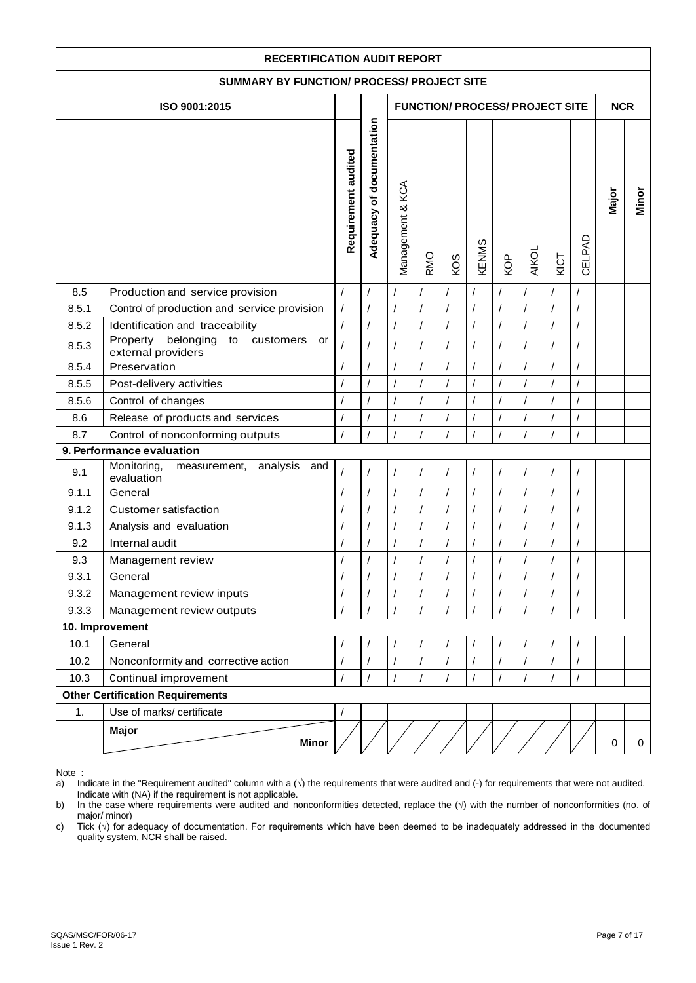| <b>RECERTIFICATION AUDIT REPORT</b>        |                                                                                   |                          |                           |                        |                      |                                        |                                  |                            |                                        |                                  |                          |             |       |
|--------------------------------------------|-----------------------------------------------------------------------------------|--------------------------|---------------------------|------------------------|----------------------|----------------------------------------|----------------------------------|----------------------------|----------------------------------------|----------------------------------|--------------------------|-------------|-------|
| SUMMARY BY FUNCTION/ PROCESS/ PROJECT SITE |                                                                                   |                          |                           |                        |                      |                                        |                                  |                            |                                        |                                  |                          |             |       |
|                                            | ISO 9001:2015                                                                     |                          |                           |                        |                      |                                        |                                  |                            | <b>FUNCTION/ PROCESS/ PROJECT SITE</b> |                                  |                          | <b>NCR</b>  |       |
|                                            |                                                                                   |                          |                           |                        |                      |                                        |                                  |                            |                                        |                                  |                          |             |       |
|                                            |                                                                                   | Requirement audited      | Adequacy of documentation | Management & KCA       | <b>RMO</b>           | KOS                                    | KENMS                            | KOP                        | <b>AIKOL</b>                           | KICT                             | CELPAD                   | Major       | Minor |
| 8.5                                        | Production and service provision                                                  | $\sqrt{2}$               | $\prime$                  |                        |                      |                                        |                                  | $\prime$                   | $\prime$                               |                                  |                          |             |       |
| 8.5.1                                      | Control of production and service provision                                       | $\prime$                 | $\prime$                  |                        |                      |                                        | $\sqrt{2}$                       | $\prime$<br>$\overline{1}$ |                                        |                                  | $\prime$                 |             |       |
| 8.5.2                                      | Identification and traceability<br>Property<br>belonging<br>to<br>customers<br>or | $\overline{1}$           | $\overline{1}$            | $\overline{1}$         | $\overline{1}$       | $\overline{1}$                         | $\overline{1}$                   |                            | $\overline{1}$                         | $\overline{1}$                   | $\overline{1}$           |             |       |
| 8.5.3                                      | external providers                                                                | $\overline{1}$           | $\sqrt{2}$                |                        | $\prime$             | $\prime$                               | $\sqrt{2}$                       |                            | $\prime$                               | $\sqrt{\phantom{a}}$             | $\prime$                 |             |       |
| 8.5.4                                      | Preservation                                                                      | $\sqrt{ }$               | $\overline{1}$            | $\prime$               | $\overline{1}$       | $\overline{1}$                         | $\sqrt{2}$                       | $\prime$                   | $\overline{1}$                         | $\sqrt{ }$                       | $\prime$                 |             |       |
| 8.5.5                                      | Post-delivery activities                                                          | $\sqrt{2}$               | $\sqrt{2}$                |                        | /                    | $\overline{1}$                         | $\sqrt{2}$                       |                            | $\sqrt{2}$                             | $\sqrt{\phantom{a}}$             | $\sqrt{ }$               |             |       |
| 8.5.6                                      | Control of changes                                                                | $\sqrt{ }$               | $\prime$                  |                        | $\overline{1}$       |                                        | $\overline{1}$                   |                            | $\sqrt{2}$                             | $\sqrt{ }$                       | $\prime$                 |             |       |
| 8.6                                        | Release of products and services                                                  | $\sqrt{2}$               | $\prime$                  |                        |                      |                                        |                                  |                            |                                        | $\overline{1}$                   | $\prime$                 |             |       |
| 8.7                                        | Control of nonconforming outputs                                                  | $\sqrt{ }$               | $\overline{1}$            |                        | $\prime$             | $\overline{I}$                         | $\sqrt{2}$                       |                            | $\prime$                               | $\sqrt{ }$                       | $\prime$                 |             |       |
|                                            | 9. Performance evaluation                                                         |                          |                           |                        |                      |                                        |                                  |                            |                                        |                                  |                          |             |       |
| 9.1                                        | Monitoring,<br>analysis<br>and<br>measurement,<br>evaluation                      |                          | $\prime$                  |                        |                      |                                        | $\prime$                         |                            |                                        | 1                                | $\prime$                 |             |       |
| 9.1.1                                      | General                                                                           | $\sqrt{2}$               | $\overline{1}$            |                        |                      |                                        | $\overline{1}$                   |                            |                                        | $\prime$                         | $\prime$                 |             |       |
| 9.1.2<br>9.1.3                             | Customer satisfaction                                                             | $\sqrt{2}$<br>$\sqrt{ }$ | $\sqrt{2}$                | $\sqrt{2}$<br>$\prime$ | $\prime$<br>$\prime$ | $\overline{1}$<br>$\sqrt{\phantom{a}}$ | $\prime$<br>$\sqrt{\phantom{a}}$ | $\prime$                   | $\prime$<br>$\sqrt{2}$                 | $\prime$<br>$\sqrt{\phantom{a}}$ | $\sqrt{2}$<br>$\sqrt{2}$ |             |       |
| 9.2                                        | Analysis and evaluation<br>Internal audit                                         |                          | $\sqrt{\phantom{a}}$      |                        | /                    |                                        | $\sqrt{\phantom{a}}$             |                            |                                        | $\sqrt{\phantom{a}}$             | $\sqrt{\phantom{a}}$     |             |       |
| 9.3                                        |                                                                                   | $\sqrt{2}$<br>$\sqrt{ }$ |                           | $\overline{1}$         |                      | $\overline{1}$                         |                                  |                            | $\sqrt{\phantom{a}}$                   |                                  |                          |             |       |
| 9.3.1                                      | Management review<br>General                                                      |                          |                           |                        |                      |                                        |                                  |                            |                                        |                                  | $\prime$                 |             |       |
| 9.3.2                                      | Management review inputs                                                          | $\sqrt{2}$               | $\sqrt{2}$                | $\prime$               |                      |                                        | $\sqrt{ }$                       |                            |                                        | $\prime$                         |                          |             |       |
| 9.3.3                                      | Management review outputs                                                         | $\sqrt{ }$               | $\prime$                  | $\prime$               | $\prime$             | $\prime$                               | $\sqrt{ }$                       |                            | $\prime$                               | $\prime$                         | $\prime$                 |             |       |
|                                            | 10. Improvement                                                                   |                          |                           |                        |                      |                                        |                                  |                            |                                        |                                  |                          |             |       |
| 10.1                                       | General                                                                           | $\prime$                 |                           |                        |                      |                                        |                                  |                            |                                        | 1                                | $\prime$                 |             |       |
| 10.2                                       | Nonconformity and corrective action                                               | $\sqrt{ }$               | $\overline{1}$            | $\prime$               | $\overline{I}$       | $\prime$                               | $\sqrt{2}$                       |                            | $\prime$                               | $\sqrt{ }$                       | $\prime$                 |             |       |
| 10.3                                       | Continual improvement                                                             | $\prime$                 | $\prime$                  |                        | 1                    |                                        | $\prime$                         |                            | $\prime$                               | $\prime$                         | $\prime$                 |             |       |
| <b>Other Certification Requirements</b>    |                                                                                   |                          |                           |                        |                      |                                        |                                  |                            |                                        |                                  |                          |             |       |
| 1.                                         | Use of marks/ certificate                                                         | $\sqrt{2}$               |                           |                        |                      |                                        |                                  |                            |                                        |                                  |                          |             |       |
|                                            | Major<br><b>Minor</b>                                                             |                          |                           |                        |                      |                                        |                                  |                            |                                        |                                  |                          | $\mathbf 0$ | 0     |

Note :<br>a) In

a) Indicate in the "Requirement audited" column with a (√) the requirements that were audited and (-) for requirements that were not audited. Indicate with (NA) if the requirement is not applicable.

b) In the case where requirements were audited and nonconformities detected, replace the (√) with the number of nonconformities (no. of major/ minor)

c) Tick (√) for adequacy of documentation. For requirements which have been deemed to be inadequately addressed in the documented quality system, NCR shall be raised.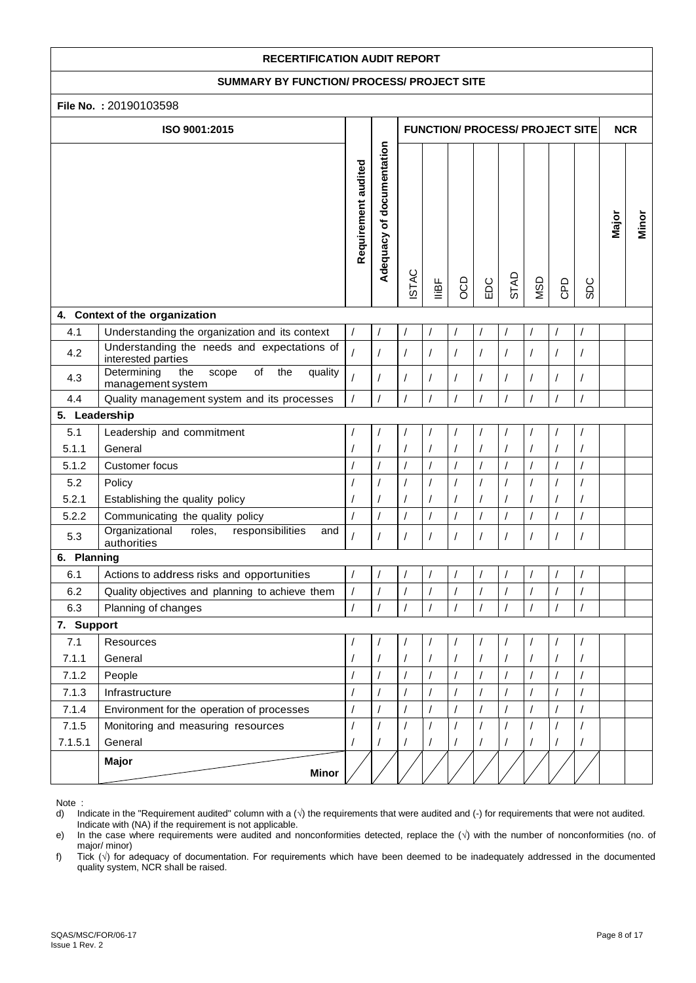#### **SUMMARY BY FUNCTION/ PROCESS/ PROJECT SITE**

| File No.: 20190103598 |                                                                                       |                     |                           |              |                |                                  |                |                        |                                        |                |                      |            |       |
|-----------------------|---------------------------------------------------------------------------------------|---------------------|---------------------------|--------------|----------------|----------------------------------|----------------|------------------------|----------------------------------------|----------------|----------------------|------------|-------|
|                       | ISO 9001:2015                                                                         |                     |                           |              |                |                                  |                |                        | <b>FUNCTION/ PROCESS/ PROJECT SITE</b> |                |                      | <b>NCR</b> |       |
|                       |                                                                                       | Requirement audited | Adequacy of documentation | <b>ISTAC</b> | lliBF          | OCD                              | EDC            | STAD                   | <b>USD</b>                             | GPD            | <b>SDC</b>           | Major      | Minor |
|                       | 4. Context of the organization                                                        |                     |                           |              |                |                                  |                |                        |                                        |                |                      |            |       |
| 4.1                   | Understanding the organization and its context                                        |                     |                           |              |                | $\prime$                         |                | $\prime$               |                                        | $\prime$       |                      |            |       |
| 4.2                   | Understanding the needs and expectations of<br>interested parties                     | $\overline{I}$      |                           | T            | $\prime$       | $\prime$                         | $\prime$       | $\prime$               | $\prime$                               | $\prime$       | $\prime$             |            |       |
| 4.3                   | $\overline{of}$<br>Determining<br>the<br>the<br>scope<br>quality<br>management system | $\overline{I}$      |                           |              | $\prime$       | $\sqrt{2}$                       |                | $\prime$               | $\prime$                               | $\prime$       | $\overline{I}$       |            |       |
| 4.4                   | Quality management system and its processes                                           |                     |                           |              | $\prime$       | $\sqrt{ }$                       | $\prime$       | $\overline{1}$         | $\prime$                               | $\overline{I}$ | $\prime$             |            |       |
| 5. Leadership         |                                                                                       |                     |                           |              |                |                                  |                |                        |                                        |                |                      |            |       |
| 5.1                   | Leadership and commitment                                                             |                     |                           |              |                | $\prime$                         | $\prime$       | 1                      |                                        |                |                      |            |       |
| 5.1.1                 | General                                                                               |                     |                           |              | $\overline{1}$ | $\prime$                         |                |                        |                                        |                | $\sqrt{\phantom{a}}$ |            |       |
| 5.1.2                 | Customer focus                                                                        |                     |                           |              | $\prime$       | $\sqrt{\phantom{a}}$             | $\sqrt{2}$     | $\sqrt{\phantom{a}}$   |                                        | $\prime$       | $\sqrt{\phantom{a}}$ |            |       |
| 5.2                   | Policy                                                                                |                     |                           |              | $\overline{I}$ | $\sqrt{2}$                       | $\overline{1}$ | $\sqrt{2}$             |                                        |                | $\overline{I}$       |            |       |
| 5.2.1                 | Establishing the quality policy                                                       |                     |                           |              | $\prime$       | $\overline{1}$                   | 1              | $\prime$               |                                        |                | /                    |            |       |
| 5.2.2                 | Communicating the quality policy                                                      |                     | $\prime$                  |              | $\prime$       | $\prime$                         | $\sqrt{2}$     | $\overline{1}$         |                                        | $\prime$       | $\overline{I}$       |            |       |
| 5.3                   | Organizational<br>roles,<br>responsibilities<br>and<br>authorities                    |                     |                           |              |                | $\overline{1}$                   | $\prime$       | $\prime$               |                                        |                | T                    |            |       |
| 6. Planning           |                                                                                       |                     |                           |              |                |                                  |                |                        |                                        |                |                      |            |       |
| 6.1                   | Actions to address risks and opportunities                                            |                     |                           |              |                | $\overline{1}$                   |                | $\prime$               |                                        | $\prime$       | $\overline{1}$       |            |       |
| 6.2                   | Quality objectives and planning to achieve them                                       | $\sqrt{2}$          |                           |              |                | $\prime$                         |                |                        |                                        |                | $\prime$             |            |       |
| 6.3                   | Planning of changes                                                                   |                     |                           |              | $\prime$       | $\prime$                         |                | $\prime$               |                                        |                | T                    |            |       |
| 7. Support            |                                                                                       |                     |                           |              |                |                                  |                |                        |                                        |                |                      |            |       |
| 7.1                   | Resources                                                                             |                     |                           |              |                |                                  |                |                        |                                        |                |                      |            |       |
| 7.1.1                 | General                                                                               |                     |                           |              |                | $\overline{1}$                   |                |                        |                                        |                |                      |            |       |
| 7.1.2                 | People                                                                                |                     |                           |              |                | $\sqrt{\phantom{a}}$             |                | $\prime$               |                                        |                | $\overline{1}$       |            |       |
| 7.1.3                 | Infrastructure                                                                        |                     | $\prime$                  |              | $\prime$       | $\sqrt{2}$                       |                | $\prime$               |                                        | $\prime$       | $\prime$             |            |       |
| 7.1.4                 | Environment for the operation of processes                                            | $\prime$            | $\prime$                  | $\prime$     | $\prime$       | $\sqrt{\phantom{a}}$             | $\prime$       | $\overline{1}$         | $\sqrt{2}$                             | $\sqrt{2}$     | $\overline{1}$       |            |       |
| 7.1.5<br>7.1.5.1      | Monitoring and measuring resources<br>General                                         |                     |                           |              | $\prime$       | $\sqrt{\phantom{a}}$<br>$\prime$ |                | $\prime$<br>$\sqrt{2}$ |                                        |                | $\overline{1}$       |            |       |
|                       | Major<br><b>Minor</b>                                                                 |                     |                           |              |                |                                  |                |                        |                                        |                |                      |            |       |

Note :<br>d) In

d) Indicate in the "Requirement audited" column with a (√) the requirements that were audited and (-) for requirements that were not audited. Indicate with (NA) if the requirement is not applicable.<br>
e) In the case where requirements were audited and n

In the case where requirements were audited and nonconformities detected, replace the (√) with the number of nonconformities (no. of major/ minor)

f) Tick (√) for adequacy of documentation. For requirements which have been deemed to be inadequately addressed in the documented quality system, NCR shall be raised.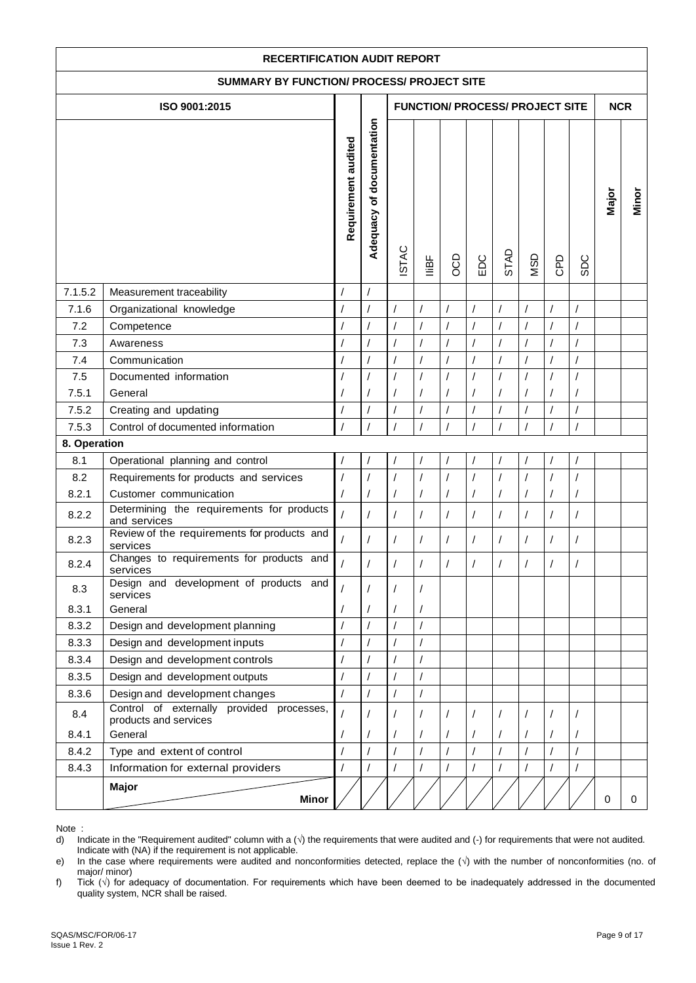| <b>RECERTIFICATION AUDIT REPORT</b>        |                                                                    |                     |                           |                |                      |                                        |                |                |            |            |                |             |       |
|--------------------------------------------|--------------------------------------------------------------------|---------------------|---------------------------|----------------|----------------------|----------------------------------------|----------------|----------------|------------|------------|----------------|-------------|-------|
| SUMMARY BY FUNCTION/ PROCESS/ PROJECT SITE |                                                                    |                     |                           |                |                      |                                        |                |                |            |            |                |             |       |
|                                            | ISO 9001:2015                                                      |                     |                           |                |                      | <b>FUNCTION/ PROCESS/ PROJECT SITE</b> |                |                |            |            |                | <b>NCR</b>  |       |
|                                            |                                                                    |                     |                           |                |                      |                                        |                |                |            |            |                |             |       |
|                                            |                                                                    | Requirement audited | Adequacy of documentation | <b>ISTAC</b>   | lliBF                | GOO                                    | EDC            | STAD           | <b>USD</b> | GPD        | <b>SDC</b>     | Major       | Minor |
| 7.1.5.2                                    | Measurement traceability                                           | $\prime$            |                           |                |                      |                                        |                |                |            |            |                |             |       |
| 7.1.6                                      | Organizational knowledge                                           | $\prime$            |                           | 1              | $\prime$             | $\prime$                               |                |                |            |            |                |             |       |
| 7.2                                        | Competence                                                         | $\overline{1}$      |                           |                | $\overline{1}$       | $\prime$                               |                |                |            |            | $\overline{1}$ |             |       |
| 7.3                                        | Awareness                                                          | $\prime$            |                           |                | $\prime$             | $\prime$                               |                | $\prime$       |            |            |                |             |       |
| 7.4                                        | Communication                                                      | $\prime$            |                           |                | $\overline{1}$       |                                        |                |                |            | $\prime$   |                |             |       |
| 7.5                                        | Documented information                                             |                     |                           |                | $\overline{1}$       |                                        |                |                |            |            |                |             |       |
| 7.5.1                                      | General                                                            |                     |                           |                | 1                    |                                        |                |                |            |            |                |             |       |
| 7.5.2                                      | Creating and updating                                              |                     |                           |                | $\overline{1}$       |                                        |                |                |            |            |                |             |       |
| 7.5.3                                      | Control of documented information                                  |                     |                           |                | $\overline{I}$       |                                        |                |                |            |            |                |             |       |
| 8. Operation                               |                                                                    |                     |                           |                |                      |                                        |                |                |            |            |                |             |       |
| 8.1                                        | Operational planning and control                                   |                     |                           |                |                      |                                        |                |                |            |            |                |             |       |
| 8.2                                        | Requirements for products and services                             | $\prime$            |                           |                | $\overline{I}$       |                                        |                |                |            |            | 1              |             |       |
| 8.2.1                                      | Customer communication                                             | $\overline{1}$      |                           |                | $\sqrt{\phantom{a}}$ | $\prime$                               |                |                |            | /          |                |             |       |
| 8.2.2                                      | Determining the requirements for products<br>and services          | $\overline{1}$      |                           |                | $\prime$             |                                        |                | $\prime$       |            | $\prime$   | $\overline{1}$ |             |       |
| 8.2.3                                      | Review of the requirements for products and<br>services            | $\overline{1}$      |                           |                | $\prime$             | $\prime$                               |                | /              | $\prime$   | $\prime$   | /              |             |       |
| 8.2.4                                      | Changes to requirements for products and<br>services               |                     |                           |                | $\prime$             | $\prime$                               |                |                | $\prime$   |            |                |             |       |
| 8.3                                        | Design and development of products and<br>services                 |                     |                           |                |                      |                                        |                |                |            |            |                |             |       |
| 8.3.1                                      | General                                                            |                     |                           |                | $\sqrt{2}$           |                                        |                |                |            |            |                |             |       |
| 8.3.2                                      | Design and development planning                                    | $\overline{1}$      |                           | $\overline{1}$ | $\overline{1}$       |                                        |                |                |            |            |                |             |       |
| 8.3.3                                      | Design and development inputs                                      |                     |                           |                | $\sqrt{\phantom{a}}$ |                                        |                |                |            |            |                |             |       |
| 8.3.4                                      | Design and development controls                                    | $\prime$            |                           | $\prime$       | $\overline{1}$       |                                        |                |                |            |            |                |             |       |
| 8.3.5                                      | Design and development outputs                                     | $\overline{1}$      |                           |                | $\sqrt{\phantom{a}}$ |                                        |                |                |            |            |                |             |       |
| 8.3.6                                      | Design and development changes                                     | $\overline{1}$      |                           | $\prime$       | $\prime$             |                                        |                |                |            |            |                |             |       |
| 8.4                                        | Control of externally provided processes,<br>products and services |                     |                           |                |                      |                                        |                |                |            |            |                |             |       |
| 8.4.1                                      | General                                                            |                     |                           |                | /                    |                                        |                | $\prime$       |            | $\prime$   |                |             |       |
| 8.4.2                                      | Type and extent of control                                         | $\overline{I}$      |                           | $\overline{I}$ | $\overline{1}$       | $\overline{1}$                         | $\overline{1}$ | $\overline{1}$ | $\prime$   | $\sqrt{2}$ | $\overline{1}$ |             |       |
| 8.4.3                                      | Information for external providers                                 |                     |                           |                | $\sqrt{2}$           |                                        |                |                |            |            |                |             |       |
|                                            | Major<br><b>Minor</b>                                              |                     |                           |                |                      |                                        |                |                |            |            |                | $\mathbf 0$ | 0     |

e) In the case where requirements were audited and nonconformities detected, replace the (√) with the number of nonconformities (no. of major/ minor)

f) Tick (√) for adequacy of documentation. For requirements which have been deemed to be inadequately addressed in the documented quality system, NCR shall be raised.

d) Indicate in the "Requirement audited" column with a  $(\vee)$  the requirements that were audited and  $(\cdot)$  for requirements that were not audited. Indicate with (NA) if the requirement is not applicable.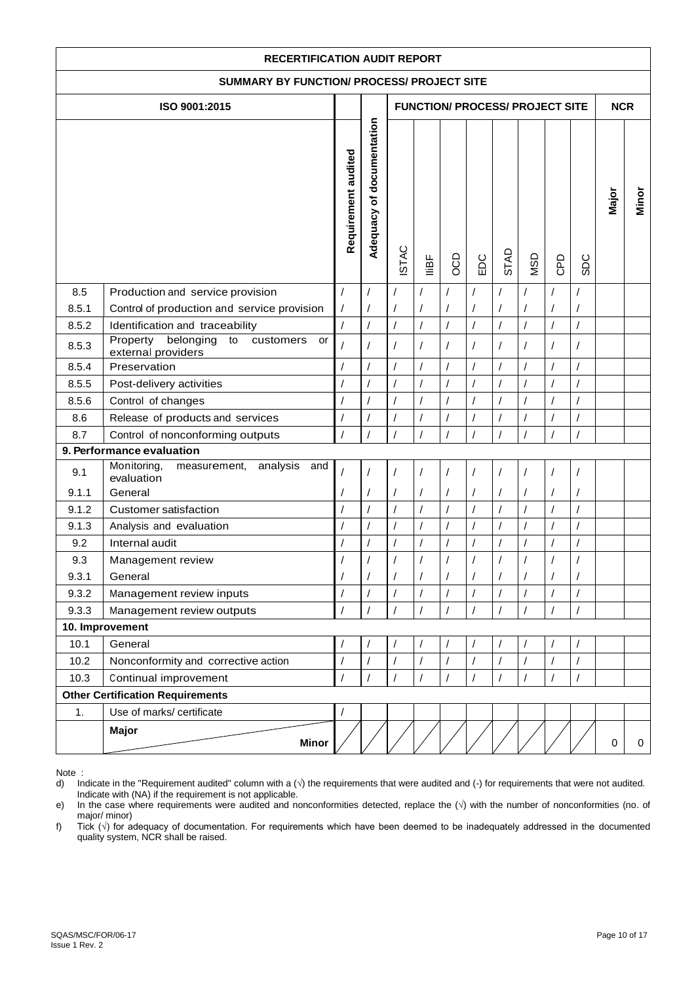| <b>RECERTIFICATION AUDIT REPORT</b>        |                                                                                |                            |                           |                      |                |                |                      |                |                                        |                      |                            |             |       |
|--------------------------------------------|--------------------------------------------------------------------------------|----------------------------|---------------------------|----------------------|----------------|----------------|----------------------|----------------|----------------------------------------|----------------------|----------------------------|-------------|-------|
| SUMMARY BY FUNCTION/ PROCESS/ PROJECT SITE |                                                                                |                            |                           |                      |                |                |                      |                |                                        |                      |                            |             |       |
|                                            | ISO 9001:2015                                                                  |                            |                           |                      |                |                |                      |                | <b>FUNCTION/ PROCESS/ PROJECT SITE</b> |                      |                            | <b>NCR</b>  |       |
|                                            |                                                                                | Requirement audited        | Adequacy of documentation | <b>ISTAC</b>         | liBF           | co             | EDC                  | STAD           | <b>USD</b>                             | GPD                  | <b>SDC</b>                 | Major       | Minor |
| 8.5<br>8.5.1                               | Production and service provision                                               | $\prime$                   | $\prime$                  |                      |                |                |                      | $\prime$       | 1                                      |                      |                            |             |       |
| 8.5.2                                      | Control of production and service provision<br>Identification and traceability | $\prime$<br>$\overline{1}$ | $\overline{1}$            | $\overline{1}$       | $\overline{1}$ | $\overline{1}$ | $\prime$<br>$\prime$ | $\overline{1}$ | $\overline{1}$                         | $\overline{1}$       | $\prime$<br>$\overline{1}$ |             |       |
| 8.5.3                                      | Property<br>belonging<br>to<br>customers<br>or<br>external providers           | $\prime$                   |                           |                      | /              | $\prime$       | $\sqrt{2}$           |                |                                        | $\overline{1}$       | $\prime$                   |             |       |
| 8.5.4                                      | Preservation                                                                   | $\overline{1}$             | $\overline{1}$            | $\sqrt{ }$           | $\overline{1}$ | $\overline{1}$ | $\overline{1}$       | $\overline{1}$ | $\overline{1}$                         | $\overline{1}$       | $\overline{1}$             |             |       |
| 8.5.5                                      | Post-delivery activities                                                       |                            | $\overline{1}$            | $\prime$             | $\prime$       | $\prime$       | $\sqrt{2}$           |                |                                        | $\prime$             | $\sqrt{2}$                 |             |       |
| 8.5.6                                      | Control of changes                                                             |                            | $\prime$                  |                      | $\prime$       |                | $\sqrt{2}$           |                | $\overline{1}$                         | $\overline{1}$       | $\prime$                   |             |       |
| 8.6                                        | Release of products and services                                               |                            |                           |                      |                |                | $\sqrt{2}$           |                |                                        | $\prime$             |                            |             |       |
| 8.7                                        | Control of nonconforming outputs                                               | $\prime$                   |                           | $\prime$             | $\overline{1}$ | $\prime$       | $\prime$             | $\prime$       | $\prime$                               | $\overline{1}$       | $\prime$                   |             |       |
|                                            | 9. Performance evaluation                                                      |                            |                           |                      |                |                |                      |                |                                        |                      |                            |             |       |
| 9.1<br>9.1.1                               | Monitoring,<br>analysis<br>and<br>measurement,<br>evaluation<br>General        |                            |                           |                      |                |                | $\prime$             |                |                                        | $\prime$             | $\prime$<br>$\prime$       |             |       |
| 9.1.2                                      | <b>Customer satisfaction</b>                                                   |                            |                           |                      |                | $\prime$       | $\prime$             |                | $\prime$                               | $\prime$             | $\sqrt{2}$                 |             |       |
| 9.1.3                                      | Analysis and evaluation                                                        | $\sqrt{2}$                 | $\prime$                  | $\prime$             | $\prime$       | $\prime$       | $\sqrt{\phantom{a}}$ | $\overline{1}$ | $\overline{1}$                         | $\sqrt{\phantom{a}}$ | $\sqrt{2}$                 |             |       |
| 9.2                                        | Internal audit                                                                 | $\prime$                   | $\overline{1}$            | $\sqrt{\phantom{a}}$ | $\sqrt{2}$     | $\prime$       | $\sqrt{\phantom{a}}$ | $\prime$       | $\sqrt{2}$                             | $\sqrt{\phantom{a}}$ | $\sqrt{\phantom{a}}$       |             |       |
| 9.3                                        | Management review                                                              |                            |                           |                      |                |                |                      |                |                                        |                      |                            |             |       |
| 9.3.1                                      | General                                                                        |                            |                           |                      |                |                | $\prime$             |                |                                        |                      | $\prime$                   |             |       |
| 9.3.2                                      | Management review inputs                                                       | $\overline{1}$             |                           | $\prime$             |                |                | $\prime$             |                | 1                                      | $\prime$             |                            |             |       |
| 9.3.3                                      | Management review outputs                                                      | $\prime$                   |                           | $\prime$             | $\sqrt{2}$     |                | $\sqrt{ }$           | $\prime$       | $\overline{I}$                         | $\prime$             | $\prime$                   |             |       |
|                                            | 10. Improvement                                                                |                            |                           |                      |                |                |                      |                |                                        |                      |                            |             |       |
| 10.1                                       | General                                                                        | $\overline{1}$             |                           |                      |                |                |                      |                |                                        | $\prime$             |                            |             |       |
| 10.2                                       | Nonconformity and corrective action                                            | $\overline{1}$             | $\prime$                  | $\prime$             | $\overline{1}$ | $\sqrt{2}$     | $\sqrt{2}$           | $\prime$       | $\overline{1}$                         | $\sqrt{ }$           | $\prime$                   |             |       |
| 10.3                                       | Continual improvement                                                          |                            |                           |                      | $\prime$       |                | $\sqrt{2}$           |                | $\prime$                               | $\overline{1}$       | $\prime$                   |             |       |
|                                            | <b>Other Certification Requirements</b>                                        |                            |                           |                      |                |                |                      |                |                                        |                      |                            |             |       |
| 1.                                         | Use of marks/ certificate                                                      |                            |                           |                      |                |                |                      |                |                                        |                      |                            |             |       |
|                                            | <b>Major</b><br><b>Minor</b>                                                   |                            |                           |                      |                |                |                      |                |                                        |                      |                            | $\mathbf 0$ | 0     |

Note :<br>d) In

Indicate in the "Requirement audited" column with a (√) the requirements that were audited and (-) for requirements that were not audited. Indicate with (NA) if the requirement is not applicable.

e) In the case where requirements were audited and nonconformities detected, replace the (√) with the number of nonconformities (no. of major/ minor)

f) Tick (√) for adequacy of documentation. For requirements which have been deemed to be inadequately addressed in the documented quality system, NCR shall be raised.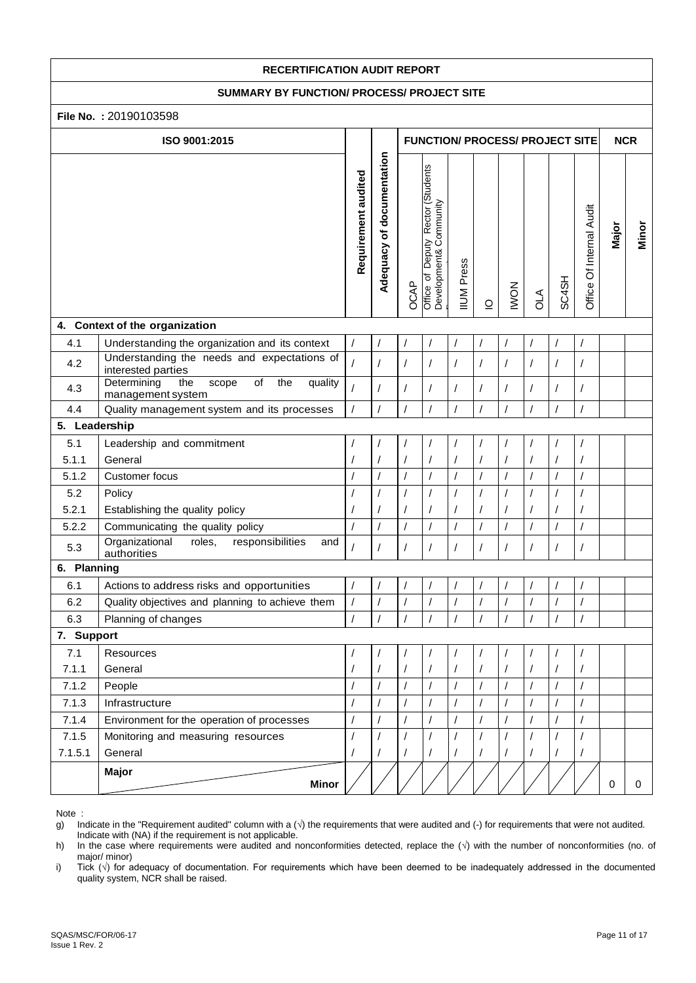#### **SUMMARY BY FUNCTION/ PROCESS/ PROJECT SITE**

## **File No. :** 20190103598

|               | LIIG IAO : 50190109990                                                                |                     |                           |                |                                                                              |                   |                              |             |                |                |                          |            |             |
|---------------|---------------------------------------------------------------------------------------|---------------------|---------------------------|----------------|------------------------------------------------------------------------------|-------------------|------------------------------|-------------|----------------|----------------|--------------------------|------------|-------------|
|               | ISO 9001:2015                                                                         |                     |                           |                | <b>FUNCTION/ PROCESS/ PROJECT SITE</b>                                       |                   |                              |             |                |                |                          | <b>NCR</b> |             |
|               |                                                                                       | Requirement audited | Adequacy of documentation | OCAP           | Deputy Rector (Students<br>Office of Deputy Kecron<br>Development& Community | <b>IIUM Press</b> | $\mathbf{\underline{\circ}}$ | <b>NOMI</b> | <b>ALO</b>     | SC4SH          | Office Of Internal Audit | Major      | Minor       |
|               | 4. Context of the organization                                                        |                     |                           |                |                                                                              |                   |                              |             |                |                |                          |            |             |
| 4.1           | Understanding the organization and its context                                        | $\prime$            |                           |                |                                                                              |                   |                              |             |                |                | 7                        |            |             |
| 4.2           | Understanding the needs and expectations of<br>interested parties                     |                     |                           |                | $\prime$                                                                     | $\prime$          |                              | $\prime$    |                |                | T                        |            |             |
| 4.3           | $\overline{of}$<br>Determining<br>scope<br>the<br>quality<br>the<br>management system | $\prime$            |                           |                | $\sqrt{2}$                                                                   | $\overline{I}$    | $\prime$                     |             | $\prime$       | $\overline{I}$ | /                        |            |             |
| 4.4           | Quality management system and its processes                                           | $\prime$            | $\overline{1}$            |                | $\prime$                                                                     | $\overline{1}$    | $\prime$                     | $\prime$    | $\overline{I}$ |                | $\overline{1}$           |            |             |
| 5. Leadership |                                                                                       |                     |                           |                |                                                                              |                   |                              |             |                |                |                          |            |             |
| 5.1           | Leadership and commitment                                                             |                     |                           |                |                                                                              |                   |                              |             |                |                |                          |            |             |
| 5.1.1         | General                                                                               |                     |                           |                |                                                                              |                   | $\prime$                     | $\prime$    |                |                | $\prime$                 |            |             |
| 5.1.2         | Customer focus                                                                        |                     |                           |                |                                                                              |                   |                              |             |                |                |                          |            |             |
| 5.2           | Policy                                                                                |                     |                           |                |                                                                              |                   |                              |             |                |                |                          |            |             |
| 5.2.1         | Establishing the quality policy                                                       |                     |                           |                |                                                                              |                   |                              |             |                |                | T                        |            |             |
| 5.2.2         | Communicating the quality policy                                                      | $\prime$            | $\prime$                  | $\overline{1}$ | $\prime$                                                                     | $\sqrt{2}$        | $\prime$                     | $\sqrt{2}$  | I              | $\prime$       | /                        |            |             |
| 5.3           | Organizational<br>roles,<br>responsibilities<br>and<br>authorities                    |                     |                           | $\prime$       | $\prime$                                                                     | $\prime$          | $\prime$                     | $\sqrt{2}$  |                | $\prime$       | /                        |            |             |
| 6. Planning   |                                                                                       |                     |                           |                |                                                                              |                   |                              |             |                |                |                          |            |             |
| 6.1           | Actions to address risks and opportunities                                            |                     |                           |                |                                                                              |                   | $\overline{1}$               |             |                |                |                          |            |             |
| 6.2           | Quality objectives and planning to achieve them                                       | $\prime$            |                           |                |                                                                              | $\sqrt{2}$        | $\prime$                     |             |                |                | /                        |            |             |
| 6.3           | Planning of changes                                                                   | $\prime$            | $\prime$                  | $\prime$       | $\overline{I}$                                                               | $\overline{I}$    |                              |             | $\overline{I}$ |                | $\overline{1}$           |            |             |
| 7. Support    |                                                                                       |                     |                           |                |                                                                              |                   |                              |             |                |                |                          |            |             |
| 7.1           | Resources                                                                             |                     |                           |                |                                                                              |                   |                              |             |                |                |                          |            |             |
| 7.1.1         | General                                                                               |                     |                           |                |                                                                              |                   |                              |             |                |                | /                        |            |             |
| 7.1.2         | People                                                                                |                     | $\prime$                  |                |                                                                              | $\sqrt{2}$        |                              | $\prime$    |                |                | $\overline{1}$           |            |             |
| 7.1.3         | Infrastructure                                                                        |                     | $\prime$                  | $\prime$       | $\sqrt{2}$                                                                   | $\sqrt{2}$        | $\prime$                     | $\prime$    | $\prime$       | $\prime$       | $\prime$                 |            |             |
| 7.1.4         | Environment for the operation of processes                                            |                     |                           |                |                                                                              | $\sqrt{2}$        | $\prime$                     | $\sqrt{2}$  |                |                | $\prime$                 |            |             |
| 7.1.5         | Monitoring and measuring resources                                                    |                     |                           |                |                                                                              | $\sqrt{2}$        |                              |             |                | $\prime$       |                          |            |             |
| 7.1.5.1       | General                                                                               |                     |                           |                |                                                                              |                   |                              | $\prime$    |                |                |                          |            |             |
|               | Major<br><b>Minor</b>                                                                 |                     |                           |                |                                                                              |                   |                              |             |                |                |                          | 0          | $\mathbf 0$ |

Note :

g) Indicate in the "Requirement audited" column with a  $(\sqrt{})$  the requirements that were audited and  $(\cdot)$  for requirements that were not audited.

Indicate with  $(NA)$  if the requirement is not applicable.<br>  $h)$  In the case where requirements were audited and n h) In the case where requirements were audited and nonconformities detected, replace the (√) with the number of nonconformities (no. of major/ minor)

i) Tick (√) for adequacy of documentation. For requirements which have been deemed to be inadequately addressed in the documented quality system, NCR shall be raised.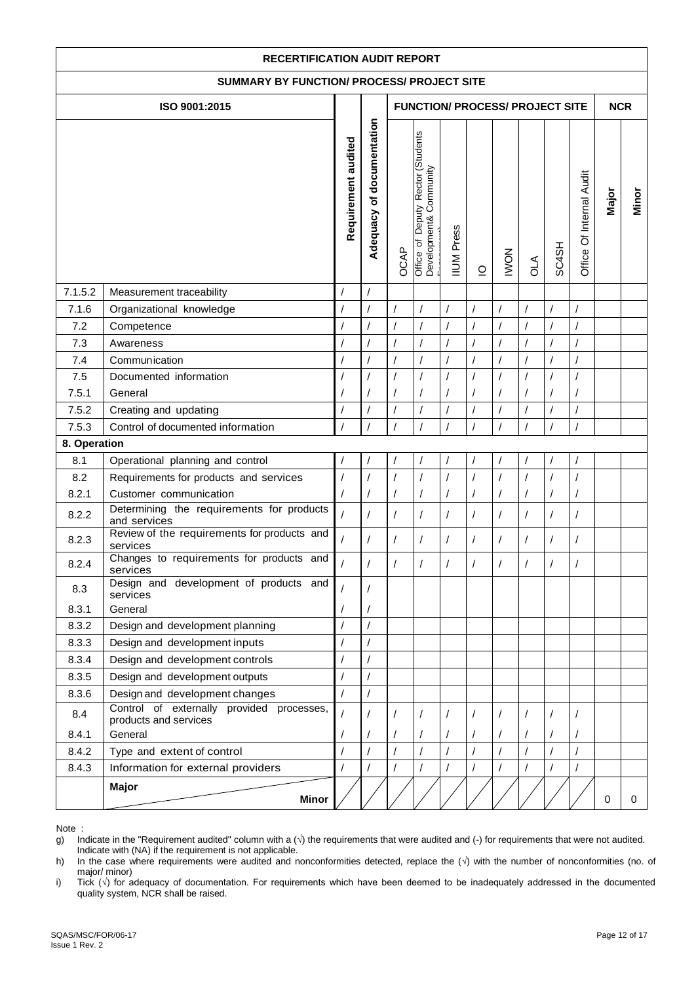| <b>RECERTIFICATION AUDIT REPORT</b>        |                                                                                                      |                     |                           |                |                                                                                                                                              |                                        |                |                      |                |                |                          |             |       |
|--------------------------------------------|------------------------------------------------------------------------------------------------------|---------------------|---------------------------|----------------|----------------------------------------------------------------------------------------------------------------------------------------------|----------------------------------------|----------------|----------------------|----------------|----------------|--------------------------|-------------|-------|
| SUMMARY BY FUNCTION/ PROCESS/ PROJECT SITE |                                                                                                      |                     |                           |                |                                                                                                                                              |                                        |                |                      |                |                |                          |             |       |
|                                            | ISO 9001:2015                                                                                        |                     |                           |                |                                                                                                                                              | <b>FUNCTION/ PROCESS/ PROJECT SITE</b> |                |                      |                |                |                          | <b>NCR</b>  |       |
|                                            |                                                                                                      | Requirement audited | Adequacy of documentation | OCAP           | Deputy Rector (Students<br>Development& Community<br><b>IIUM</b> Press<br>$\mathsf{p}$<br><b>NOMI</b><br>Office<br><b>Alo</b><br>$\supseteq$ |                                        |                |                      |                |                | Office Of Internal Audit | Major       | Minor |
| 7.1.5.2                                    | Measurement traceability                                                                             |                     |                           |                |                                                                                                                                              |                                        |                |                      |                |                |                          |             |       |
| 7.1.6                                      | Organizational knowledge                                                                             | $\prime$            | $\prime$                  | $\overline{1}$ | $\prime$                                                                                                                                     | $\overline{1}$                         | $\prime$       | $\overline{I}$       | $\overline{1}$ | $\prime$       | $\sqrt{ }$               |             |       |
| 7.2                                        | Competence                                                                                           | $\overline{I}$      | $\prime$                  | $\overline{I}$ | $\overline{1}$                                                                                                                               | $\prime$                               | $\prime$       | $\overline{1}$       | $\overline{1}$ | $\overline{1}$ | $\overline{1}$           |             |       |
| 7.3                                        | Awareness                                                                                            | $\prime$            |                           |                | $\overline{1}$                                                                                                                               |                                        |                | $\prime$             |                |                |                          |             |       |
| 7.4                                        | Communication                                                                                        | $\prime$            |                           | $\prime$       | $\overline{1}$                                                                                                                               | $\sqrt{2}$                             | $\overline{1}$ | $\overline{I}$       |                | $\prime$       | $\overline{1}$           |             |       |
| 7.5                                        | Documented information                                                                               |                     |                           |                | $\overline{1}$                                                                                                                               |                                        |                |                      |                |                |                          |             |       |
| 7.5.1                                      | General                                                                                              |                     |                           |                | 1                                                                                                                                            |                                        |                |                      |                |                |                          |             |       |
| 7.5.2                                      | Creating and updating                                                                                |                     |                           |                | $\overline{1}$                                                                                                                               |                                        |                |                      |                |                | $\prime$                 |             |       |
| 7.5.3                                      | Control of documented information                                                                    |                     |                           |                | $\overline{1}$                                                                                                                               |                                        |                |                      |                |                |                          |             |       |
| 8. Operation                               |                                                                                                      |                     |                           |                |                                                                                                                                              |                                        |                |                      |                |                |                          |             |       |
| 8.1                                        | Operational planning and control                                                                     |                     |                           |                | $\prime$                                                                                                                                     |                                        |                |                      |                |                |                          |             |       |
| 8.2                                        | Requirements for products and services                                                               | $\overline{I}$      |                           |                | $\overline{I}$                                                                                                                               | $\prime$                               |                |                      | $\sqrt{2}$     | $\prime$       | $\prime$                 |             |       |
| 8.2.1                                      | Customer communication                                                                               |                     |                           |                | $\sqrt{2}$                                                                                                                                   | 1                                      |                |                      |                | 1              |                          |             |       |
| 8.2.2                                      | Determining the requirements for products<br>and services                                            | $\overline{1}$      |                           |                | $\overline{1}$                                                                                                                               |                                        |                | $\prime$             |                |                |                          |             |       |
| 8.2.3                                      | Review of the requirements for products and<br>services                                              |                     |                           |                | $\prime$                                                                                                                                     | 1                                      |                |                      |                | /              |                          |             |       |
| 8.2.4                                      | Changes to requirements for products and<br>services                                                 |                     |                           |                | $\prime$                                                                                                                                     | $\prime$                               |                |                      |                | $\prime$       |                          |             |       |
| 8.3                                        | Design and development of products and<br>services                                                   |                     |                           |                |                                                                                                                                              |                                        |                |                      |                |                |                          |             |       |
| 8.3.1                                      | General                                                                                              |                     |                           |                |                                                                                                                                              |                                        |                |                      |                |                |                          |             |       |
| 8.3.2                                      | Design and development planning                                                                      | $\overline{1}$      |                           |                |                                                                                                                                              |                                        |                |                      |                |                |                          |             |       |
| 8.3.3                                      | Design and development inputs                                                                        |                     |                           |                |                                                                                                                                              |                                        |                |                      |                |                |                          |             |       |
| 8.3.4                                      | Design and development controls                                                                      | $\prime$            |                           |                |                                                                                                                                              |                                        |                |                      |                |                |                          |             |       |
| 8.3.5                                      | Design and development outputs                                                                       | $\overline{1}$      |                           |                |                                                                                                                                              |                                        |                |                      |                |                |                          |             |       |
| 8.3.6<br>8.4                               | Design and development changes<br>Control of externally provided processes,<br>products and services | $\overline{1}$      | $\prime$                  |                |                                                                                                                                              |                                        |                |                      |                |                |                          |             |       |
| 8.4.1                                      | General                                                                                              |                     |                           |                | /                                                                                                                                            | $\prime$                               |                | $\prime$             | $\prime$       | $\prime$       |                          |             |       |
| 8.4.2                                      | Type and extent of control                                                                           | $\prime$            |                           | /              | $\overline{1}$                                                                                                                               | $\prime$                               | $\prime$       | $\overline{1}$       | $\prime$       | $\overline{1}$ | $\overline{1}$           |             |       |
| 8.4.3                                      | Information for external providers                                                                   |                     |                           | $\sqrt{2}$     | $\sqrt{\phantom{a}}$                                                                                                                         | $\prime$                               | $\prime$       | $\sqrt{\phantom{a}}$ | $\sqrt{2}$     | $\prime$       |                          |             |       |
|                                            | Major<br><b>Minor</b>                                                                                |                     |                           |                |                                                                                                                                              |                                        |                |                      |                |                |                          | $\mathbf 0$ | 0     |

h) In the case where requirements were audited and nonconformities detected, replace the (√) with the number of nonconformities (no. of major/ minor)

i) Tick (√) for adequacy of documentation. For requirements which have been deemed to be inadequately addressed in the documented quality system, NCR shall be raised.

g) Indicate in the "Requirement audited" column with a  $(\vee)$  the requirements that were audited and  $(\cdot)$  for requirements that were not audited. Indicate with (NA) if the requirement is not applicable.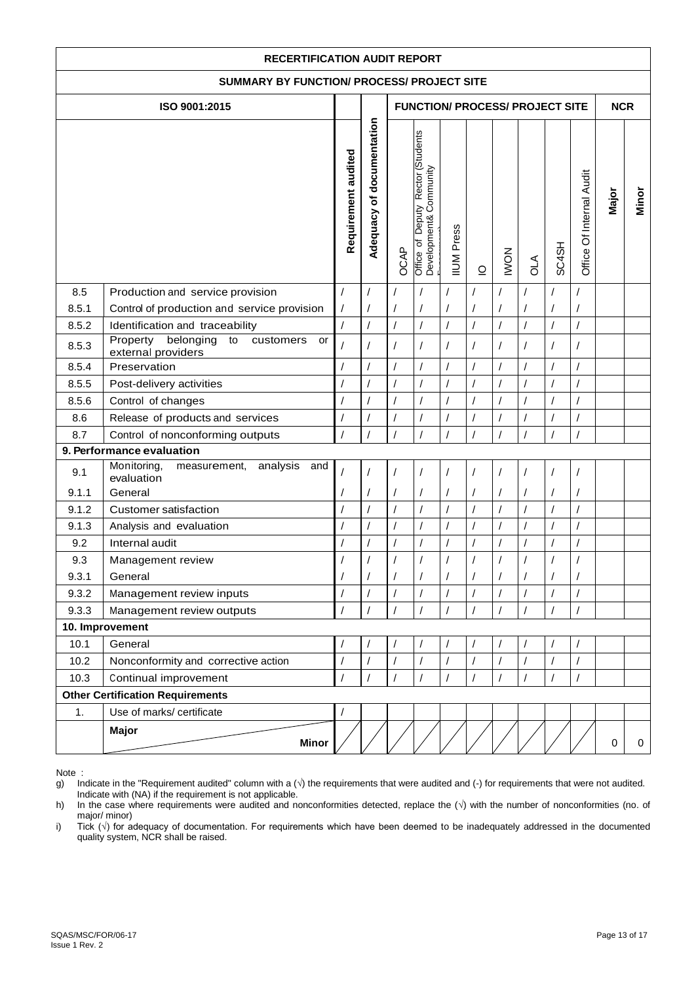| <b>RECERTIFICATION AUDIT REPORT</b>                                                                                                                                                               |                                                                                |                            |                |                                        |                |                |                                              |                |                |                      |                                    |             |   |
|---------------------------------------------------------------------------------------------------------------------------------------------------------------------------------------------------|--------------------------------------------------------------------------------|----------------------------|----------------|----------------------------------------|----------------|----------------|----------------------------------------------|----------------|----------------|----------------------|------------------------------------|-------------|---|
| SUMMARY BY FUNCTION/ PROCESS/ PROJECT SITE                                                                                                                                                        |                                                                                |                            |                |                                        |                |                |                                              |                |                |                      |                                    |             |   |
|                                                                                                                                                                                                   | ISO 9001:2015                                                                  |                            |                | <b>FUNCTION/ PROCESS/ PROJECT SITE</b> |                |                |                                              |                |                |                      | <b>NCR</b>                         |             |   |
| Adequacy of documentation<br>Office of Deputy Rector (Students<br>Requirement audited<br>Development& Community<br><b>IIUM</b> Press<br>SC4SH<br>OCAP<br><b>NOMI</b><br><b>AJO</b><br>$\supseteq$ |                                                                                |                            |                | Office Of Internal Audit               | Major          | Minor          |                                              |                |                |                      |                                    |             |   |
| 8.5                                                                                                                                                                                               | Production and service provision                                               | $\prime$                   | $\prime$       |                                        |                |                |                                              | $\sqrt{2}$     | 1              |                      |                                    |             |   |
| 8.5.1<br>8.5.2                                                                                                                                                                                    | Control of production and service provision<br>Identification and traceability | $\prime$<br>$\overline{1}$ | $\overline{1}$ | $\prime$                               | $\overline{1}$ | $\overline{1}$ | $\overline{1}$                               |                | $\overline{1}$ | $\overline{1}$       | $\prime$<br>$\overline{1}$         |             |   |
| 8.5.3                                                                                                                                                                                             | Property<br>belonging<br>to<br>customers<br>or<br>external providers           | $\overline{1}$             |                |                                        |                | $\sqrt{2}$     | $\sqrt{2}$                                   |                |                | $\prime$             | $\prime$                           |             |   |
| 8.5.4                                                                                                                                                                                             | Preservation                                                                   | $\overline{1}$             | $\overline{1}$ | $\overline{1}$                         | $\overline{1}$ | $\overline{1}$ | $\overline{1}$                               | $\overline{1}$ | $\overline{1}$ | $\overline{1}$       | $\prime$                           |             |   |
| 8.5.5                                                                                                                                                                                             | Post-delivery activities                                                       |                            |                |                                        |                | $\sqrt{2}$     | $\sqrt{2}$                                   |                |                | $\overline{1}$       | $\sqrt{2}$                         |             |   |
| 8.5.6                                                                                                                                                                                             | Control of changes                                                             |                            |                |                                        | $\prime$       |                | $\prime$                                     |                |                | $\prime$             | $\sqrt{2}$                         |             |   |
| 8.6                                                                                                                                                                                               | Release of products and services                                               |                            |                |                                        |                |                |                                              |                |                | $\prime$             |                                    |             |   |
| 8.7                                                                                                                                                                                               | Control of nonconforming outputs                                               | $\prime$                   |                |                                        | $\overline{1}$ | $\prime$       | $\prime$                                     | $\prime$       | $\sqrt{2}$     | $\overline{1}$       | $\prime$                           |             |   |
|                                                                                                                                                                                                   | 9. Performance evaluation                                                      |                            |                |                                        |                |                |                                              |                |                |                      |                                    |             |   |
| 9.1                                                                                                                                                                                               | Monitoring,<br>analysis<br>measurement,<br>and<br>evaluation                   |                            |                |                                        |                |                | $\prime$                                     |                |                |                      | $\prime$                           |             |   |
| 9.1.1                                                                                                                                                                                             | General                                                                        |                            |                |                                        |                |                |                                              |                |                |                      |                                    |             |   |
| 9.1.2                                                                                                                                                                                             | <b>Customer satisfaction</b>                                                   | $\sqrt{2}$                 | $\prime$       | $\prime$                               |                | $\sqrt{2}$     | $\prime$                                     | $\prime$       | $\prime$       | $\prime$             | $\sqrt{2}$                         |             |   |
| 9.1.3<br>9.2                                                                                                                                                                                      | Analysis and evaluation<br>Internal audit                                      |                            | $\overline{1}$ | $\prime$                               | $\prime$       | $\overline{1}$ | $\sqrt{\phantom{a}}$<br>$\sqrt{\phantom{a}}$ |                | $\overline{1}$ | $\sqrt{\phantom{a}}$ | $\sqrt{2}$<br>$\sqrt{\phantom{a}}$ |             |   |
| 9.3                                                                                                                                                                                               |                                                                                | $\prime$                   |                |                                        | $\sqrt{2}$     | $\prime$       |                                              |                | /              | $\overline{1}$       |                                    |             |   |
| 9.3.1                                                                                                                                                                                             | Management review<br>General                                                   |                            |                |                                        |                |                |                                              |                |                |                      | $\prime$                           |             |   |
| 9.3.2                                                                                                                                                                                             | Management review inputs                                                       | $\overline{1}$             |                | $\prime$                               |                |                | $\prime$                                     |                | 1              |                      |                                    |             |   |
| 9.3.3                                                                                                                                                                                             | Management review outputs                                                      | $\prime$                   |                | $\prime$                               | $\sqrt{2}$     |                | $\sqrt{ }$                                   | $\prime$       | $\sqrt{2}$     | $\prime$             | $\prime$                           |             |   |
|                                                                                                                                                                                                   | 10. Improvement                                                                |                            |                |                                        |                |                |                                              |                |                |                      |                                    |             |   |
| 10.1                                                                                                                                                                                              | General                                                                        | $\overline{1}$             |                |                                        |                |                |                                              |                |                |                      |                                    |             |   |
| 10.2                                                                                                                                                                                              | Nonconformity and corrective action                                            | $\sqrt{2}$                 | $\prime$       | $\prime$                               | $\prime$       | $\overline{1}$ | $\sqrt{2}$                                   |                | $\overline{1}$ | $\sqrt{ }$           | $\prime$                           |             |   |
| 10.3                                                                                                                                                                                              | Continual improvement                                                          |                            |                |                                        | $\prime$       |                | $\sqrt{2}$                                   |                |                | $\sqrt{2}$           | $\prime$                           |             |   |
|                                                                                                                                                                                                   | <b>Other Certification Requirements</b>                                        |                            |                |                                        |                |                |                                              |                |                |                      |                                    |             |   |
| 1.                                                                                                                                                                                                | Use of marks/ certificate                                                      |                            |                |                                        |                |                |                                              |                |                |                      |                                    |             |   |
|                                                                                                                                                                                                   | <b>Major</b><br><b>Minor</b>                                                   |                            |                |                                        |                |                |                                              |                |                |                      |                                    | $\mathbf 0$ | 0 |

Note :<br>g) In Indicate in the "Requirement audited" column with a  $(\sqrt{ } )$  the requirements that were audited and  $( - )$  for requirements that were not audited. Indicate with (NA) if the requirement is not applicable.

h) In the case where requirements were audited and nonconformities detected, replace the (√) with the number of nonconformities (no. of major/ minor)

i) Tick (√) for adequacy of documentation. For requirements which have been deemed to be inadequately addressed in the documented quality system, NCR shall be raised.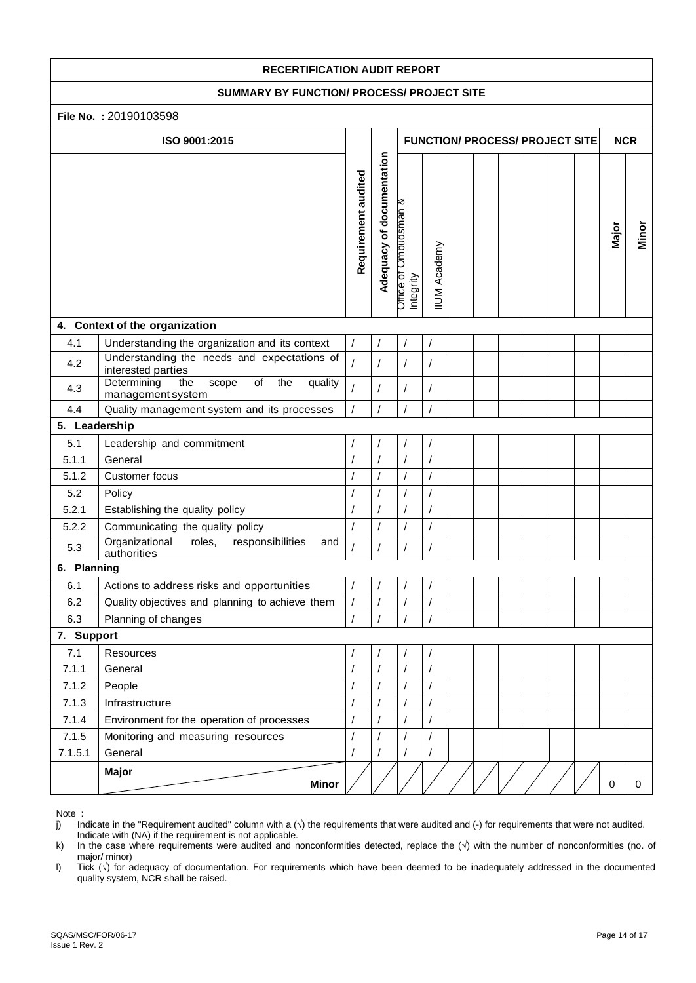#### **SUMMARY BY FUNCTION/ PROCESS/ PROJECT SITE**

#### **File No. :** 20190103598

|               | <b>File No.: 20190103598</b>                                                                                                       |                      |                |                                        |                      |  |  |  |  |            |          |             |
|---------------|------------------------------------------------------------------------------------------------------------------------------------|----------------------|----------------|----------------------------------------|----------------------|--|--|--|--|------------|----------|-------------|
|               | ISO 9001:2015                                                                                                                      |                      |                | <b>FUNCTION/ PROCESS/ PROJECT SITE</b> |                      |  |  |  |  | <b>NCR</b> |          |             |
|               | Adequacy of documentation<br>Requirement audited<br><b>Ombudsman &amp;</b><br><b>IIUM Academy</b><br><b>Drrice of</b><br>Integrity |                      | Major          | Minor                                  |                      |  |  |  |  |            |          |             |
|               | 4. Context of the organization                                                                                                     |                      |                |                                        |                      |  |  |  |  |            |          |             |
| 4.1           | Understanding the organization and its context                                                                                     | $\sqrt{ }$           |                | $\sqrt{2}$                             |                      |  |  |  |  |            |          |             |
| 4.2           | Understanding the needs and expectations of<br>interested parties                                                                  | $\prime$             |                | $\prime$                               |                      |  |  |  |  |            |          |             |
| 4.3           | Determining<br>of<br>the<br>the<br>scope<br>quality<br>management system                                                           | $\prime$             |                | $\prime$                               |                      |  |  |  |  |            |          |             |
| 4.4           | Quality management system and its processes                                                                                        |                      |                |                                        |                      |  |  |  |  |            |          |             |
| 5. Leadership |                                                                                                                                    |                      |                |                                        |                      |  |  |  |  |            |          |             |
| 5.1           | Leadership and commitment                                                                                                          | $\overline{1}$       |                |                                        |                      |  |  |  |  |            |          |             |
| 5.1.1         | General                                                                                                                            |                      |                |                                        |                      |  |  |  |  |            |          |             |
| 5.1.2         | Customer focus                                                                                                                     | $\prime$             | $\prime$       |                                        |                      |  |  |  |  |            |          |             |
| 5.2           | Policy                                                                                                                             |                      |                |                                        |                      |  |  |  |  |            |          |             |
| 5.2.1         | Establishing the quality policy                                                                                                    |                      |                |                                        | $\prime$             |  |  |  |  |            |          |             |
| 5.2.2         | Communicating the quality policy                                                                                                   | $\sqrt{\phantom{a}}$ | $\prime$       | $\sqrt{\phantom{a}}$                   | $\sqrt{\phantom{a}}$ |  |  |  |  |            |          |             |
| 5.3           | roles,<br>Organizational<br>responsibilities<br>and<br>authorities                                                                 | $\overline{1}$       | $\prime$       | $\sqrt{2}$                             | $\sqrt{2}$           |  |  |  |  |            |          |             |
| 6. Planning   |                                                                                                                                    |                      |                |                                        |                      |  |  |  |  |            |          |             |
| 6.1           | Actions to address risks and opportunities                                                                                         |                      |                |                                        |                      |  |  |  |  |            |          |             |
| 6.2           | Quality objectives and planning to achieve them                                                                                    | $\sqrt{\phantom{a}}$ | $\overline{1}$ | $\overline{1}$                         |                      |  |  |  |  |            |          |             |
| 6.3           | Planning of changes                                                                                                                | $\prime$             |                |                                        |                      |  |  |  |  |            |          |             |
| 7. Support    |                                                                                                                                    |                      |                |                                        |                      |  |  |  |  |            |          |             |
| 7.1           | Resources                                                                                                                          | $\overline{1}$       |                |                                        |                      |  |  |  |  |            |          |             |
| 7.1.1         | General                                                                                                                            |                      |                |                                        |                      |  |  |  |  |            |          |             |
| 7.1.2         | People                                                                                                                             | $\overline{1}$       | $\prime$       | $\sqrt{ }$                             | $\prime$             |  |  |  |  |            |          |             |
| 7.1.3         | Infrastructure                                                                                                                     | $\prime$             |                | $\prime$                               |                      |  |  |  |  |            |          |             |
| 7.1.4         | Environment for the operation of processes                                                                                         | $\sqrt{2}$           | $\prime$       | $\prime$                               |                      |  |  |  |  |            |          |             |
| 7.1.5         | Monitoring and measuring resources                                                                                                 |                      |                |                                        |                      |  |  |  |  |            |          |             |
| 7.1.5.1       | General                                                                                                                            |                      |                |                                        |                      |  |  |  |  |            |          |             |
|               | Major<br><b>Minor</b>                                                                                                              |                      |                |                                        |                      |  |  |  |  |            | $\Omega$ | $\mathbf 0$ |

Note :

j) Indicate in the "Requirement audited" column with a  $(\sqrt{})$  the requirements that were audited and  $(\cdot)$  for requirements that were not audited.

Indicate with  $(NA)$  if the requirement is not applicable.<br>  $k$ ) In the case where requirements were audited and n In the case where requirements were audited and nonconformities detected, replace the (√) with the number of nonconformities (no. of major/ minor)

l) Tick (√) for adequacy of documentation. For requirements which have been deemed to be inadequately addressed in the documented quality system, NCR shall be raised.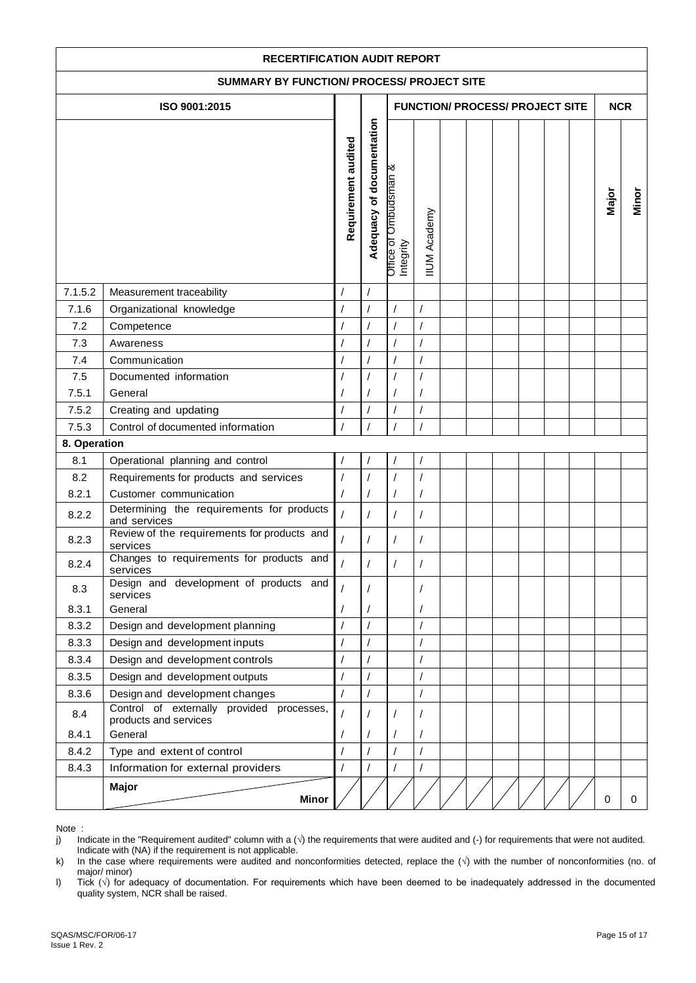| <b>RECERTIFICATION AUDIT REPORT</b> |                                                                                                      |                     |                           |                                       |                      |  |  |            |  |  |  |             |       |
|-------------------------------------|------------------------------------------------------------------------------------------------------|---------------------|---------------------------|---------------------------------------|----------------------|--|--|------------|--|--|--|-------------|-------|
|                                     | <b>SUMMARY BY FUNCTION/ PROCESS/ PROJECT SITE</b>                                                    |                     |                           |                                       |                      |  |  |            |  |  |  |             |       |
|                                     | ISO 9001:2015<br><b>FUNCTION/ PROCESS/ PROJECT SITE</b>                                              |                     |                           |                                       |                      |  |  | <b>NCR</b> |  |  |  |             |       |
|                                     |                                                                                                      |                     |                           |                                       |                      |  |  |            |  |  |  |             |       |
|                                     |                                                                                                      | Requirement audited | Adequacy of documentation | Ombudsman &<br>Office of<br>Integrity | <b>IIUM Academy</b>  |  |  |            |  |  |  | Major       | Minor |
| 7.1.5.2                             | Measurement traceability                                                                             |                     |                           |                                       |                      |  |  |            |  |  |  |             |       |
| 7.1.6                               | Organizational knowledge                                                                             | $\prime$            |                           | $\prime$                              | $\overline{1}$       |  |  |            |  |  |  |             |       |
| 7.2                                 | Competence                                                                                           | $\prime$            |                           | $\overline{I}$                        | $\sqrt{\phantom{a}}$ |  |  |            |  |  |  |             |       |
| 7.3                                 | Awareness                                                                                            |                     |                           |                                       | $\overline{1}$       |  |  |            |  |  |  |             |       |
| 7.4                                 | Communication                                                                                        | $\overline{1}$      |                           | $\overline{I}$                        | $\overline{1}$       |  |  |            |  |  |  |             |       |
| 7.5                                 | Documented information                                                                               |                     |                           |                                       | $\sqrt{\phantom{a}}$ |  |  |            |  |  |  |             |       |
| 7.5.1                               | General                                                                                              |                     |                           |                                       | $\sqrt{2}$           |  |  |            |  |  |  |             |       |
| 7.5.2                               | Creating and updating                                                                                |                     |                           |                                       | $\overline{1}$       |  |  |            |  |  |  |             |       |
| 7.5.3                               | Control of documented information                                                                    |                     |                           |                                       | $\overline{I}$       |  |  |            |  |  |  |             |       |
| 8. Operation                        |                                                                                                      |                     |                           |                                       |                      |  |  |            |  |  |  |             |       |
| 8.1                                 | Operational planning and control                                                                     |                     |                           |                                       |                      |  |  |            |  |  |  |             |       |
| 8.2                                 | Requirements for products and services                                                               |                     |                           |                                       | $\overline{1}$       |  |  |            |  |  |  |             |       |
| 8.2.1                               | Customer communication                                                                               | $\prime$            |                           |                                       | $\overline{1}$       |  |  |            |  |  |  |             |       |
| 8.2.2                               | Determining the requirements for products<br>and services                                            | $\overline{1}$      |                           |                                       | $\prime$             |  |  |            |  |  |  |             |       |
| 8.2.3                               | Review of the requirements for products and<br>services<br>Changes to requirements for products and  |                     |                           | $\prime$                              | $\sqrt{2}$           |  |  |            |  |  |  |             |       |
| 8.2.4                               | services                                                                                             |                     |                           |                                       | $\prime$             |  |  |            |  |  |  |             |       |
| 8.3                                 | Design and development of products and<br>services                                                   |                     |                           |                                       | $\prime$             |  |  |            |  |  |  |             |       |
| 8.3.1                               | General                                                                                              |                     |                           |                                       | $\prime$             |  |  |            |  |  |  |             |       |
| 8.3.2                               | Design and development planning                                                                      | $\prime$            | $\prime$                  |                                       | $\overline{1}$       |  |  |            |  |  |  |             |       |
| 8.3.3                               | Design and development inputs                                                                        | $\prime$            |                           |                                       | $\sqrt{\phantom{a}}$ |  |  |            |  |  |  |             |       |
| 8.3.4                               | Design and development controls                                                                      | $\overline{I}$      |                           |                                       | $\overline{1}$       |  |  |            |  |  |  |             |       |
| 8.3.5                               | Design and development outputs                                                                       |                     |                           |                                       | $\prime$             |  |  |            |  |  |  |             |       |
| 8.3.6<br>8.4                        | Design and development changes<br>Control of externally provided processes,<br>products and services | $\prime$            | $\overline{1}$            |                                       | $\sqrt{2}$           |  |  |            |  |  |  |             |       |
| 8.4.1                               | General                                                                                              |                     |                           |                                       |                      |  |  |            |  |  |  |             |       |
| 8.4.2                               | Type and extent of control                                                                           | $\overline{1}$      |                           |                                       | $\overline{1}$       |  |  |            |  |  |  |             |       |
| 8.4.3                               | Information for external providers                                                                   |                     |                           |                                       | $\overline{1}$       |  |  |            |  |  |  |             |       |
|                                     | <b>Major</b><br><b>Minor</b>                                                                         |                     |                           |                                       |                      |  |  |            |  |  |  | $\mathbf 0$ | 0     |

j) Indicate in the "Requirement audited" column with a (√) the requirements that were audited and (-) for requirements that were not audited. Indicate with (NA) if the requirement is not applicable.

k) In the case where requirements were audited and nonconformities detected, replace the (√) with the number of nonconformities (no. of major/ minor)

l) Tick (√) for adequacy of documentation. For requirements which have been deemed to be inadequately addressed in the documented quality system, NCR shall be raised.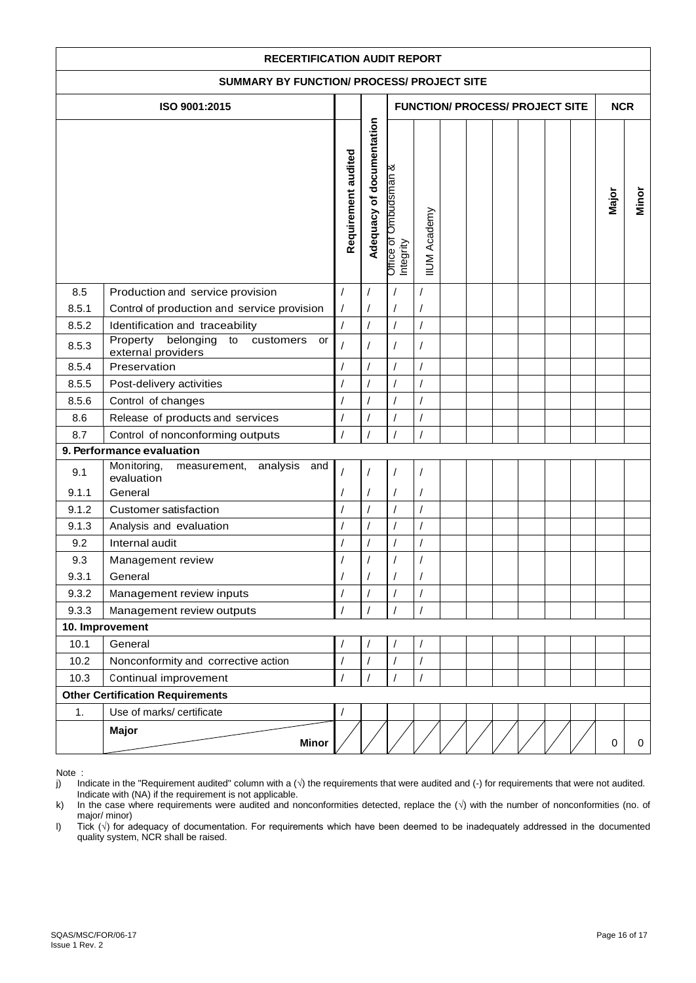| <b>RECERTIFICATION AUDIT REPORT</b>        |                                                                                |                              |                                        |                                                  |                      |  |  |  |  |            |             |       |
|--------------------------------------------|--------------------------------------------------------------------------------|------------------------------|----------------------------------------|--------------------------------------------------|----------------------|--|--|--|--|------------|-------------|-------|
| SUMMARY BY FUNCTION/ PROCESS/ PROJECT SITE |                                                                                |                              |                                        |                                                  |                      |  |  |  |  |            |             |       |
|                                            | ISO 9001:2015                                                                  |                              | <b>FUNCTION/ PROCESS/ PROJECT SITE</b> |                                                  |                      |  |  |  |  | <b>NCR</b> |             |       |
|                                            |                                                                                | Requirement audited          | Adequacy of documentation              | <b>Dmbudsman &amp;</b><br>Office of<br>Integrity | <b>IIUM Academy</b>  |  |  |  |  |            | Major       | Minor |
| 8.5                                        | Production and service provision                                               | $\sqrt{ }$                   | $\sqrt{2}$                             |                                                  |                      |  |  |  |  |            |             |       |
| 8.5.1<br>8.5.2                             | Control of production and service provision<br>Identification and traceability | $\sqrt{2}$<br>$\overline{1}$ | $\prime$<br>$\overline{1}$             | $\overline{1}$                                   | $\overline{1}$       |  |  |  |  |            |             |       |
| 8.5.3                                      | Property<br>belonging<br>to<br>customers<br>or<br>external providers           | $\prime$                     | $\overline{1}$                         | $\overline{1}$                                   |                      |  |  |  |  |            |             |       |
| 8.5.4                                      | Preservation                                                                   | $\sqrt{2}$                   | $\sqrt{2}$                             | $\overline{1}$                                   | $\overline{I}$       |  |  |  |  |            |             |       |
| 8.5.5                                      | Post-delivery activities                                                       |                              | $\prime$                               |                                                  | /                    |  |  |  |  |            |             |       |
| 8.5.6                                      | Control of changes                                                             | $\sqrt{2}$                   | $\overline{1}$                         | $\overline{1}$                                   | $\sqrt{2}$           |  |  |  |  |            |             |       |
| 8.6                                        | Release of products and services                                               | $\sqrt{2}$                   | $\sqrt{2}$                             |                                                  | $\prime$             |  |  |  |  |            |             |       |
| 8.7                                        | Control of nonconforming outputs                                               | $\prime$                     | $\prime$                               |                                                  | $\prime$             |  |  |  |  |            |             |       |
|                                            | 9. Performance evaluation                                                      |                              |                                        |                                                  |                      |  |  |  |  |            |             |       |
| 9.1<br>9.1.1                               | Monitoring,<br>analysis and<br>measurement,<br>evaluation<br>General           |                              |                                        |                                                  | $\sqrt{2}$           |  |  |  |  |            |             |       |
| 9.1.2                                      | <b>Customer satisfaction</b>                                                   | $\prime$                     | $\sqrt{2}$                             | $\sqrt{2}$                                       | $\sqrt{2}$           |  |  |  |  |            |             |       |
| 9.1.3                                      | Analysis and evaluation                                                        | $\sqrt{2}$                   | $\sqrt{2}$                             |                                                  | $\sqrt{2}$           |  |  |  |  |            |             |       |
| 9.2                                        | Internal audit                                                                 | $\prime$                     | $\sqrt{2}$                             |                                                  |                      |  |  |  |  |            |             |       |
| 9.3                                        | Management review                                                              | $\prime$                     | $\sqrt{\phantom{a}}$                   |                                                  | $\sqrt{\phantom{a}}$ |  |  |  |  |            |             |       |
| 9.3.1                                      | General                                                                        |                              |                                        |                                                  |                      |  |  |  |  |            |             |       |
| 9.3.2                                      | Management review inputs                                                       | $\sqrt{2}$                   | $\prime$                               | $\prime$                                         | $\prime$             |  |  |  |  |            |             |       |
| 9.3.3                                      | Management review outputs                                                      | $\sqrt{ }$                   | $\prime$                               |                                                  |                      |  |  |  |  |            |             |       |
|                                            | 10. Improvement                                                                |                              |                                        |                                                  |                      |  |  |  |  |            |             |       |
| 10.1                                       | General                                                                        | $\prime$                     | $\prime$                               |                                                  | $\prime$             |  |  |  |  |            |             |       |
| 10.2                                       | Nonconformity and corrective action                                            | $\overline{1}$               | $\overline{1}$                         |                                                  |                      |  |  |  |  |            |             |       |
| 10.3                                       | Continual improvement                                                          | $\prime$                     |                                        |                                                  | $\prime$             |  |  |  |  |            |             |       |
|                                            | <b>Other Certification Requirements</b>                                        |                              |                                        |                                                  |                      |  |  |  |  |            |             |       |
| 1.                                         | Use of marks/ certificate                                                      | $\prime$                     |                                        |                                                  |                      |  |  |  |  |            |             |       |
|                                            | <b>Major</b><br><b>Minor</b>                                                   |                              |                                        |                                                  |                      |  |  |  |  |            | $\mathbf 0$ | 0     |

Note :<br>j) In Indicate in the "Requirement audited" column with a  $(\sqrt{ } )$  the requirements that were audited and  $($ - $)$  for requirements that were not audited. Indicate with (NA) if the requirement is not applicable.

k) In the case where requirements were audited and nonconformities detected, replace the (√) with the number of nonconformities (no. of major/ minor)

l) Tick (√) for adequacy of documentation. For requirements which have been deemed to be inadequately addressed in the documented quality system, NCR shall be raised.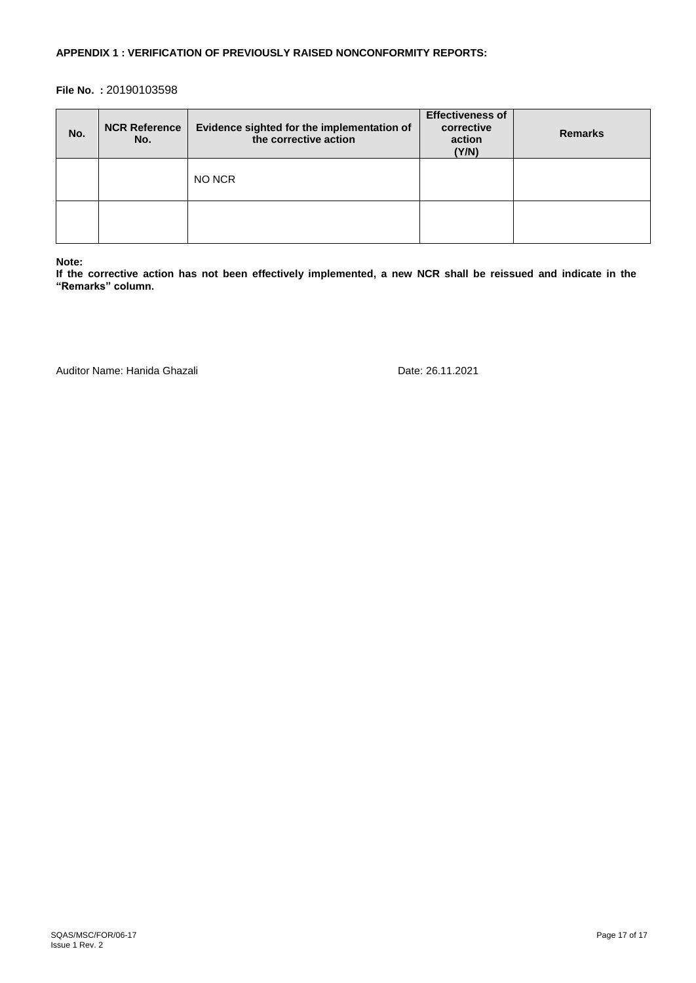## **APPENDIX 1 : VERIFICATION OF PREVIOUSLY RAISED NONCONFORMITY REPORTS:**

## **File No. :** 20190103598

| No. | <b>NCR Reference</b><br>No. | Evidence sighted for the implementation of<br>the corrective action | <b>Effectiveness of</b><br>corrective<br>action<br>(Y/N) | <b>Remarks</b> |
|-----|-----------------------------|---------------------------------------------------------------------|----------------------------------------------------------|----------------|
|     |                             | NO NCR                                                              |                                                          |                |
|     |                             |                                                                     |                                                          |                |

#### **Note:**

**If the corrective action has not been effectively implemented, a new NCR shall be reissued and indicate in the "Remarks" column.** 

Auditor Name: Hanida Ghazali data da ana ana amin'ny fivondronan-kaominin'i Date: 26.11.2021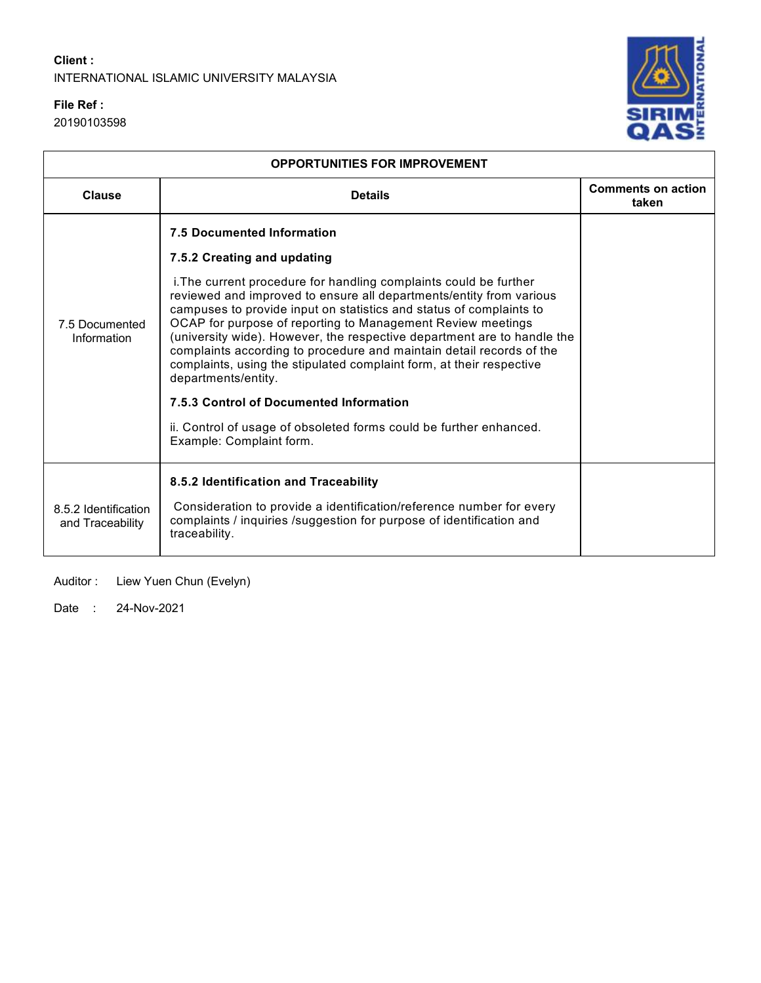## **File Ref :**

20190103598



| <b>OPPORTUNITIES FOR IMPROVEMENT</b>     |                                                                                                                                                                                                                                                                                                                                                                                                                                                                                                                                                                 |                                    |  |  |  |  |
|------------------------------------------|-----------------------------------------------------------------------------------------------------------------------------------------------------------------------------------------------------------------------------------------------------------------------------------------------------------------------------------------------------------------------------------------------------------------------------------------------------------------------------------------------------------------------------------------------------------------|------------------------------------|--|--|--|--|
| Clause                                   | <b>Details</b>                                                                                                                                                                                                                                                                                                                                                                                                                                                                                                                                                  | <b>Comments on action</b><br>taken |  |  |  |  |
|                                          | <b>7.5 Documented Information</b>                                                                                                                                                                                                                                                                                                                                                                                                                                                                                                                               |                                    |  |  |  |  |
| 7.5 Documented<br>Information            | 7.5.2 Creating and updating<br>i. The current procedure for handling complaints could be further<br>reviewed and improved to ensure all departments/entity from various<br>campuses to provide input on statistics and status of complaints to<br>OCAP for purpose of reporting to Management Review meetings<br>(university wide). However, the respective department are to handle the<br>complaints according to procedure and maintain detail records of the<br>complaints, using the stipulated complaint form, at their respective<br>departments/entity. |                                    |  |  |  |  |
|                                          | 7.5.3 Control of Documented Information                                                                                                                                                                                                                                                                                                                                                                                                                                                                                                                         |                                    |  |  |  |  |
|                                          | ii. Control of usage of obsoleted forms could be further enhanced.<br>Example: Complaint form.                                                                                                                                                                                                                                                                                                                                                                                                                                                                  |                                    |  |  |  |  |
| 8.5.2 Identification<br>and Traceability | 8.5.2 Identification and Traceability<br>Consideration to provide a identification/reference number for every<br>complaints / inquiries /suggestion for purpose of identification and<br>traceability.                                                                                                                                                                                                                                                                                                                                                          |                                    |  |  |  |  |

Auditor : Liew Yuen Chun (Evelyn)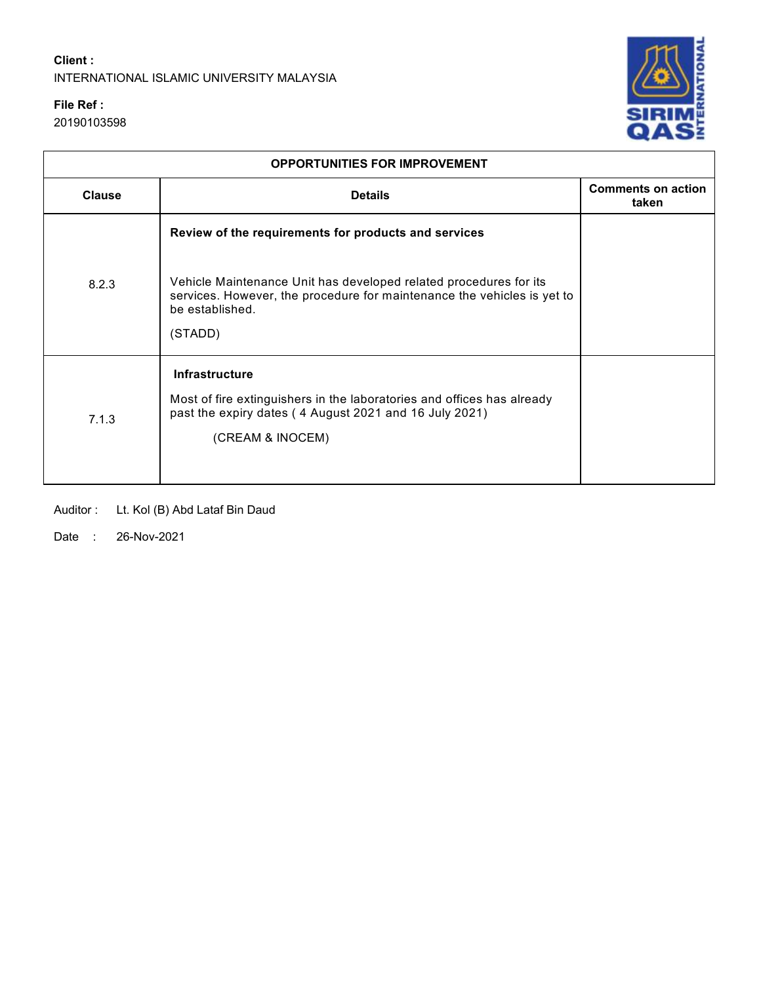## **File Ref :**

20190103598



| <b>OPPORTUNITIES FOR IMPROVEMENT</b> |                                                                                                                                                                            |                                    |  |  |  |  |
|--------------------------------------|----------------------------------------------------------------------------------------------------------------------------------------------------------------------------|------------------------------------|--|--|--|--|
| <b>Clause</b>                        | <b>Details</b>                                                                                                                                                             | <b>Comments on action</b><br>taken |  |  |  |  |
|                                      | Review of the requirements for products and services                                                                                                                       |                                    |  |  |  |  |
| 8.2.3                                | Vehicle Maintenance Unit has developed related procedures for its<br>services. However, the procedure for maintenance the vehicles is yet to<br>be established.<br>(STADD) |                                    |  |  |  |  |
| 7.1.3                                | Infrastructure<br>Most of fire extinguishers in the laboratories and offices has already<br>past the expiry dates (4 August 2021 and 16 July 2021)<br>(CREAM & INOCEM)     |                                    |  |  |  |  |

Auditor : Lt. Kol (B) Abd Lataf Bin Daud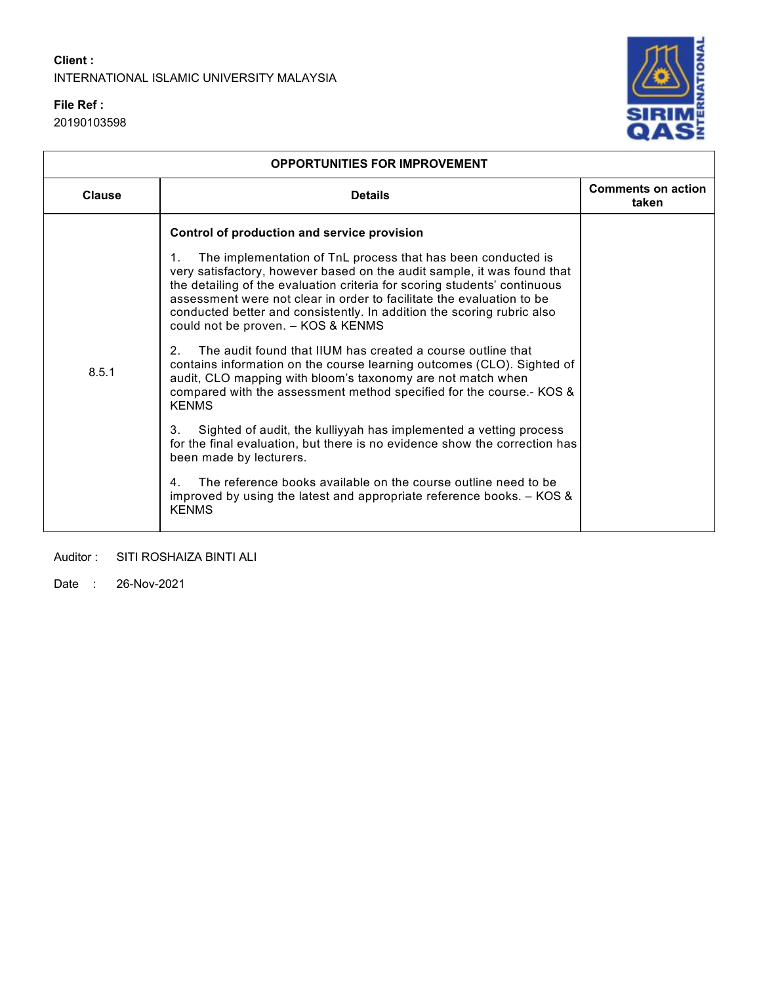## **File Ref :**

20190103598



| <b>OPPORTUNITIES FOR IMPROVEMENT</b> |                                                                                                                                                                                                                                                                                                                                                                                                                                                                                                                                                                                                                                                                                                                                                                                                                                                                                                                                                                                                                                                                                                                                                           |                                    |  |  |  |
|--------------------------------------|-----------------------------------------------------------------------------------------------------------------------------------------------------------------------------------------------------------------------------------------------------------------------------------------------------------------------------------------------------------------------------------------------------------------------------------------------------------------------------------------------------------------------------------------------------------------------------------------------------------------------------------------------------------------------------------------------------------------------------------------------------------------------------------------------------------------------------------------------------------------------------------------------------------------------------------------------------------------------------------------------------------------------------------------------------------------------------------------------------------------------------------------------------------|------------------------------------|--|--|--|
| <b>Clause</b>                        | <b>Details</b>                                                                                                                                                                                                                                                                                                                                                                                                                                                                                                                                                                                                                                                                                                                                                                                                                                                                                                                                                                                                                                                                                                                                            | <b>Comments on action</b><br>taken |  |  |  |
| 8.5.1                                | Control of production and service provision<br>The implementation of TnL process that has been conducted is<br>1.<br>very satisfactory, however based on the audit sample, it was found that<br>the detailing of the evaluation criteria for scoring students' continuous<br>assessment were not clear in order to facilitate the evaluation to be<br>conducted better and consistently. In addition the scoring rubric also<br>could not be proven. - KOS & KENMS<br>The audit found that IIUM has created a course outline that<br>$\mathcal{P}$<br>contains information on the course learning outcomes (CLO). Sighted of<br>audit, CLO mapping with bloom's taxonomy are not match when<br>compared with the assessment method specified for the course.- KOS &<br><b>KENMS</b><br>3.<br>Sighted of audit, the kulliyyah has implemented a vetting process<br>for the final evaluation, but there is no evidence show the correction has<br>been made by lecturers.<br>The reference books available on the course outline need to be<br>4 <sup>1</sup><br>improved by using the latest and appropriate reference books. $-$ KOS $\&$<br><b>KENMS</b> |                                    |  |  |  |

## Auditor : SITI ROSHAIZA BINTI ALI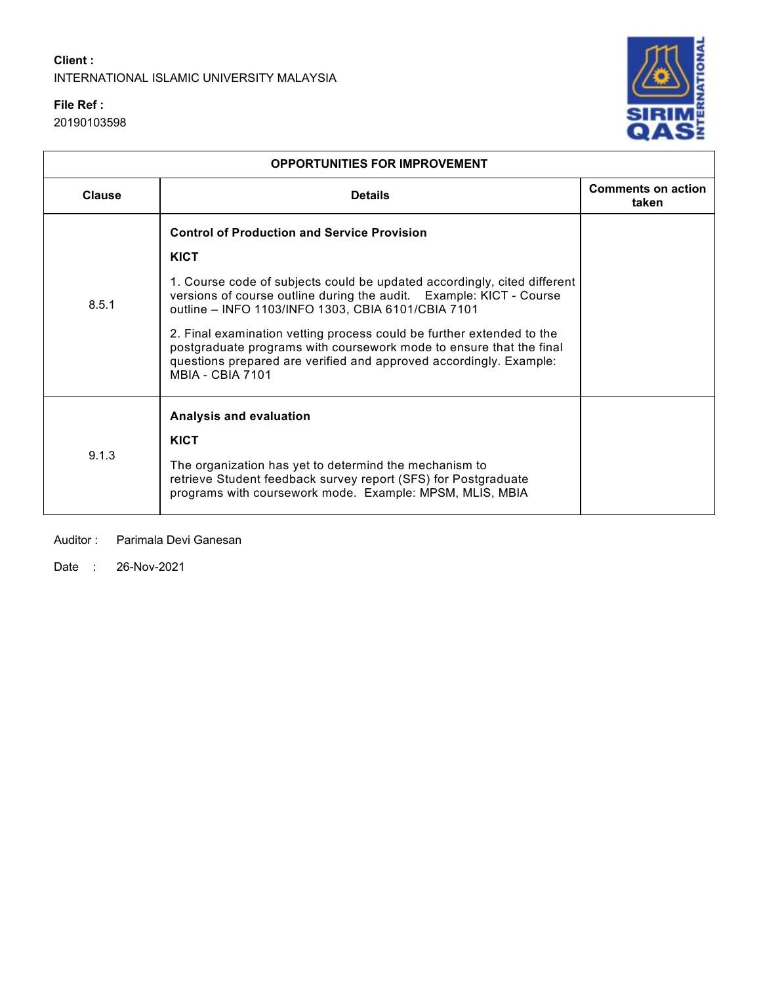## **File Ref :**

20190103598



| <b>OPPORTUNITIES FOR IMPROVEMENT</b> |                                                                                                                                                                                                                                               |                                    |  |  |  |  |
|--------------------------------------|-----------------------------------------------------------------------------------------------------------------------------------------------------------------------------------------------------------------------------------------------|------------------------------------|--|--|--|--|
| <b>Clause</b>                        | <b>Details</b>                                                                                                                                                                                                                                | <b>Comments on action</b><br>taken |  |  |  |  |
|                                      | <b>Control of Production and Service Provision</b>                                                                                                                                                                                            |                                    |  |  |  |  |
|                                      | <b>KICT</b>                                                                                                                                                                                                                                   |                                    |  |  |  |  |
| 8.5.1                                | 1. Course code of subjects could be updated accordingly, cited different<br>versions of course outline during the audit. Example: KICT - Course<br>outline - INFO 1103/INFO 1303, CBIA 6101/CBIA 7101                                         |                                    |  |  |  |  |
|                                      | 2. Final examination vetting process could be further extended to the<br>postgraduate programs with coursework mode to ensure that the final<br>questions prepared are verified and approved accordingly. Example:<br><b>MBIA - CBIA 7101</b> |                                    |  |  |  |  |
|                                      | Analysis and evaluation                                                                                                                                                                                                                       |                                    |  |  |  |  |
|                                      | <b>KICT</b>                                                                                                                                                                                                                                   |                                    |  |  |  |  |
| 9.1.3                                | The organization has yet to determind the mechanism to<br>retrieve Student feedback survey report (SFS) for Postgraduate<br>programs with coursework mode. Example: MPSM, MLIS, MBIA                                                          |                                    |  |  |  |  |

Auditor : Parimala Devi Ganesan